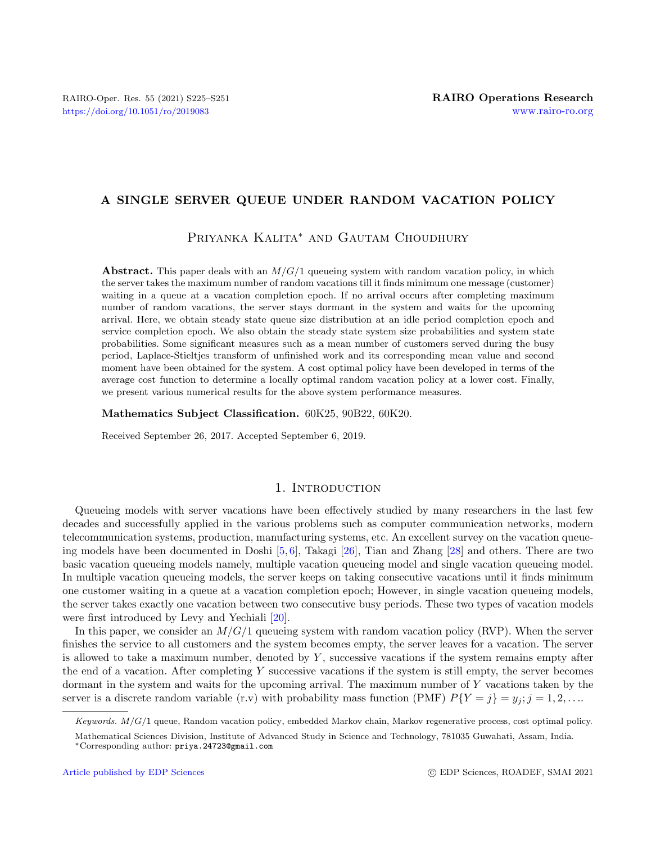# A SINGLE SERVER QUEUE UNDER RANDOM VACATION POLICY

Priyanka Kalita<sup>∗</sup> and Gautam Choudhury

Abstract. This paper deals with an  $M/G/1$  queueing system with random vacation policy, in which the server takes the maximum number of random vacations till it finds minimum one message (customer) waiting in a queue at a vacation completion epoch. If no arrival occurs after completing maximum number of random vacations, the server stays dormant in the system and waits for the upcoming arrival. Here, we obtain steady state queue size distribution at an idle period completion epoch and service completion epoch. We also obtain the steady state system size probabilities and system state probabilities. Some significant measures such as a mean number of customers served during the busy period, Laplace-Stieltjes transform of unfinished work and its corresponding mean value and second moment have been obtained for the system. A cost optimal policy have been developed in terms of the average cost function to determine a locally optimal random vacation policy at a lower cost. Finally, we present various numerical results for the above system performance measures.

Mathematics Subject Classification. 60K25, 90B22, 60K20.

Received September 26, 2017. Accepted September 6, 2019.

### 1. INTRODUCTION

Queueing models with server vacations have been effectively studied by many researchers in the last few decades and successfully applied in the various problems such as computer communication networks, modern telecommunication systems, production, manufacturing systems, etc. An excellent survey on the vacation queueing models have been documented in Doshi [\[5,](#page-26-0) [6\]](#page-26-1), Takagi [\[26\]](#page-26-2), Tian and Zhang [\[28\]](#page-26-3) and others. There are two basic vacation queueing models namely, multiple vacation queueing model and single vacation queueing model. In multiple vacation queueing models, the server keeps on taking consecutive vacations until it finds minimum one customer waiting in a queue at a vacation completion epoch; However, in single vacation queueing models, the server takes exactly one vacation between two consecutive busy periods. These two types of vacation models were first introduced by Levy and Yechiali [\[20\]](#page-26-4).

In this paper, we consider an  $M/G/1$  queueing system with random vacation policy (RVP). When the server finishes the service to all customers and the system becomes empty, the server leaves for a vacation. The server is allowed to take a maximum number, denoted by  $Y$ , successive vacations if the system remains empty after the end of a vacation. After completing Y successive vacations if the system is still empty, the server becomes dormant in the system and waits for the upcoming arrival. The maximum number of Y vacations taken by the server is a discrete random variable (r.v) with probability mass function (PMF)  $P{Y = j} = y_i; j = 1, 2, ...$ 

Keywords.  $M/G/1$  queue, Random vacation policy, embedded Markov chain, Markov regenerative process, cost optimal policy.

Mathematical Sciences Division, Institute of Advanced Study in Science and Technology, 781035 Guwahati, Assam, India. <sup>∗</sup>Corresponding author: [priya.24723@gmail.com](mailto:priya.24723@gmail.com)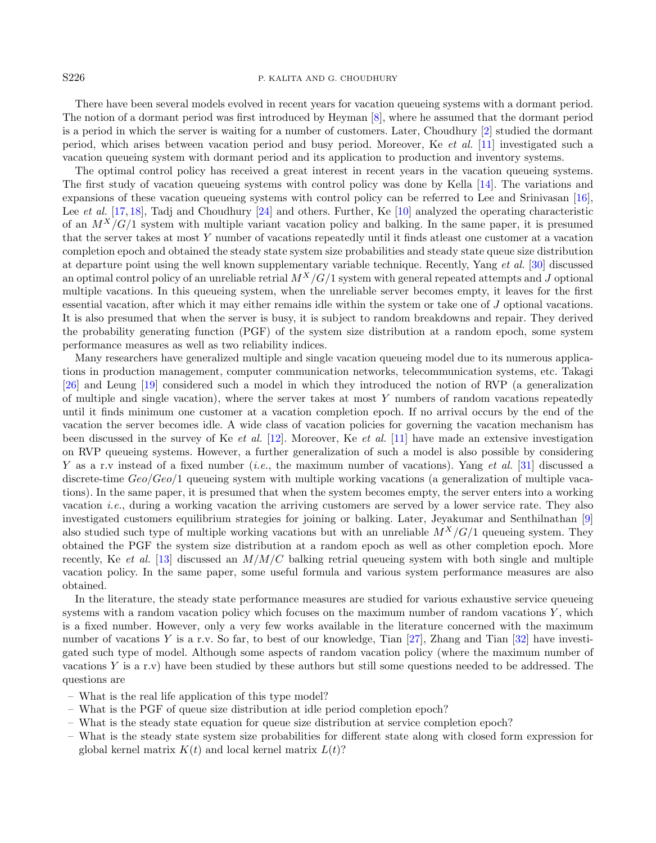#### S226 P. KALITA AND G. CHOUDHURY

There have been several models evolved in recent years for vacation queueing systems with a dormant period. The notion of a dormant period was first introduced by Heyman [\[8\]](#page-26-5), where he assumed that the dormant period is a period in which the server is waiting for a number of customers. Later, Choudhury [\[2\]](#page-26-6) studied the dormant period, which arises between vacation period and busy period. Moreover, Ke et al. [\[11\]](#page-26-7) investigated such a vacation queueing system with dormant period and its application to production and inventory systems.

The optimal control policy has received a great interest in recent years in the vacation queueing systems. The first study of vacation queueing systems with control policy was done by Kella [\[14\]](#page-26-8). The variations and expansions of these vacation queueing systems with control policy can be referred to Lee and Srinivasan [\[16\]](#page-26-9), Lee *et al.* [\[17,](#page-26-10) [18\]](#page-26-11), Tadj and Choudhury [\[24\]](#page-26-12) and others. Further, Ke [\[10\]](#page-26-13) analyzed the operating characteristic of an  $M^{X}/G/1$  system with multiple variant vacation policy and balking. In the same paper, it is presumed that the server takes at most Y number of vacations repeatedly until it finds atleast one customer at a vacation completion epoch and obtained the steady state system size probabilities and steady state queue size distribution at departure point using the well known supplementary variable technique. Recently, Yang et al. [\[30\]](#page-26-14) discussed an optimal control policy of an unreliable retrial  $M^X/G/1$  system with general repeated attempts and J optional multiple vacations. In this queueing system, when the unreliable server becomes empty, it leaves for the first essential vacation, after which it may either remains idle within the system or take one of J optional vacations. It is also presumed that when the server is busy, it is subject to random breakdowns and repair. They derived the probability generating function (PGF) of the system size distribution at a random epoch, some system performance measures as well as two reliability indices.

Many researchers have generalized multiple and single vacation queueing model due to its numerous applications in production management, computer communication networks, telecommunication systems, etc. Takagi [\[26\]](#page-26-2) and Leung [\[19\]](#page-26-15) considered such a model in which they introduced the notion of RVP (a generalization of multiple and single vacation), where the server takes at most  $Y$  numbers of random vacations repeatedly until it finds minimum one customer at a vacation completion epoch. If no arrival occurs by the end of the vacation the server becomes idle. A wide class of vacation policies for governing the vacation mechanism has been discussed in the survey of Ke et al. [\[12\]](#page-26-16). Moreover, Ke et al. [\[11\]](#page-26-7) have made an extensive investigation on RVP queueing systems. However, a further generalization of such a model is also possible by considering Y as a r.v instead of a fixed number (*i.e.*, the maximum number of vacations). Yang *et al.* [\[31\]](#page-26-17) discussed a discrete-time  $Geo/Geo/1$  queueing system with multiple working vacations (a generalization of multiple vacations). In the same paper, it is presumed that when the system becomes empty, the server enters into a working vacation *i.e.*, during a working vacation the arriving customers are served by a lower service rate. They also investigated customers equilibrium strategies for joining or balking. Later, Jeyakumar and Senthilnathan [\[9\]](#page-26-18) also studied such type of multiple working vacations but with an unreliable  $M^X/G/1$  queueing system. They obtained the PGF the system size distribution at a random epoch as well as other completion epoch. More recently, Ke et al. [\[13\]](#page-26-19) discussed an  $M/M/C$  balking retrial queueing system with both single and multiple vacation policy. In the same paper, some useful formula and various system performance measures are also obtained.

In the literature, the steady state performance measures are studied for various exhaustive service queueing systems with a random vacation policy which focuses on the maximum number of random vacations  $Y$ , which is a fixed number. However, only a very few works available in the literature concerned with the maximum number of vacations Y is a r.v. So far, to best of our knowledge, Tian [\[27\]](#page-26-20), Zhang and Tian [\[32\]](#page-26-21) have investigated such type of model. Although some aspects of random vacation policy (where the maximum number of vacations Y is a r.v) have been studied by these authors but still some questions needed to be addressed. The questions are

- What is the real life application of this type model?
- What is the PGF of queue size distribution at idle period completion epoch?
- What is the steady state equation for queue size distribution at service completion epoch?
- What is the steady state system size probabilities for different state along with closed form expression for global kernel matrix  $K(t)$  and local kernel matrix  $L(t)$ ?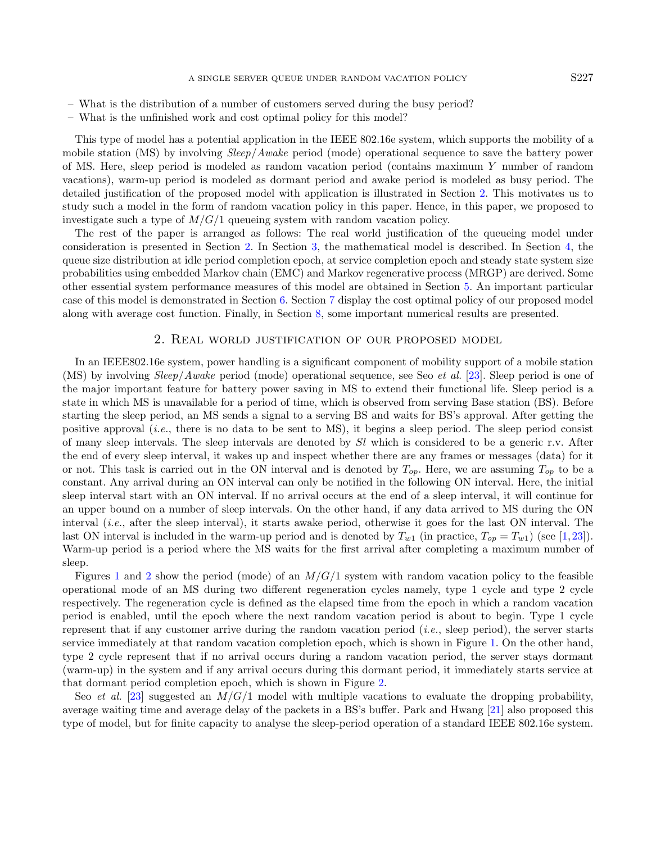- What is the distribution of a number of customers served during the busy period?
- What is the unfinished work and cost optimal policy for this model?

This type of model has a potential application in the IEEE 802.16e system, which supports the mobility of a mobile station (MS) by involving *Sleep/Awake* period (mode) operational sequence to save the battery power of MS. Here, sleep period is modeled as random vacation period (contains maximum Y number of random vacations), warm-up period is modeled as dormant period and awake period is modeled as busy period. The detailed justification of the proposed model with application is illustrated in Section [2.](#page-2-0) This motivates us to study such a model in the form of random vacation policy in this paper. Hence, in this paper, we proposed to investigate such a type of  $M/G/1$  queueing system with random vacation policy.

The rest of the paper is arranged as follows: The real world justification of the queueing model under consideration is presented in Section [2.](#page-2-0) In Section [3,](#page-3-0) the mathematical model is described. In Section [4,](#page-5-0) the queue size distribution at idle period completion epoch, at service completion epoch and steady state system size probabilities using embedded Markov chain (EMC) and Markov regenerative process (MRGP) are derived. Some other essential system performance measures of this model are obtained in Section [5.](#page-13-0) An important particular case of this model is demonstrated in Section [6.](#page-15-0) Section [7](#page-15-1) display the cost optimal policy of our proposed model along with average cost function. Finally, in Section [8,](#page-17-0) some important numerical results are presented.

#### 2. Real world justification of our proposed model

<span id="page-2-0"></span>In an IEEE802.16e system, power handling is a significant component of mobility support of a mobile station (MS) by involving Sleep/Awake period (mode) operational sequence, see Seo et al. [\[23\]](#page-26-22). Sleep period is one of the major important feature for battery power saving in MS to extend their functional life. Sleep period is a state in which MS is unavailable for a period of time, which is observed from serving Base station (BS). Before starting the sleep period, an MS sends a signal to a serving BS and waits for BS's approval. After getting the positive approval (*i.e.*, there is no data to be sent to MS), it begins a sleep period. The sleep period consist of many sleep intervals. The sleep intervals are denoted by  $Sl$  which is considered to be a generic r.v. After the end of every sleep interval, it wakes up and inspect whether there are any frames or messages (data) for it or not. This task is carried out in the ON interval and is denoted by  $T_{op}$ . Here, we are assuming  $T_{op}$  to be a constant. Any arrival during an ON interval can only be notified in the following ON interval. Here, the initial sleep interval start with an ON interval. If no arrival occurs at the end of a sleep interval, it will continue for an upper bound on a number of sleep intervals. On the other hand, if any data arrived to MS during the ON interval (i.e., after the sleep interval), it starts awake period, otherwise it goes for the last ON interval. The last ON interval is included in the warm-up period and is denoted by  $T_{w1}$  (in practice,  $T_{op} = T_{w1}$ ) (see [\[1,](#page-26-23)[23\]](#page-26-22)). Warm-up period is a period where the MS waits for the first arrival after completing a maximum number of sleep.

Figures [1](#page-3-1) and [2](#page-4-0) show the period (mode) of an  $M/G/1$  system with random vacation policy to the feasible operational mode of an MS during two different regeneration cycles namely, type 1 cycle and type 2 cycle respectively. The regeneration cycle is defined as the elapsed time from the epoch in which a random vacation period is enabled, until the epoch where the next random vacation period is about to begin. Type 1 cycle represent that if any customer arrive during the random vacation period  $(i.e.,$  sleep period), the server starts service immediately at that random vacation completion epoch, which is shown in Figure [1.](#page-3-1) On the other hand, type 2 cycle represent that if no arrival occurs during a random vacation period, the server stays dormant (warm-up) in the system and if any arrival occurs during this dormant period, it immediately starts service at that dormant period completion epoch, which is shown in Figure [2.](#page-4-0)

Seo *et al.* [\[23\]](#page-26-22) suggested an  $M/G/1$  model with multiple vacations to evaluate the dropping probability, average waiting time and average delay of the packets in a BS's buffer. Park and Hwang [\[21\]](#page-26-24) also proposed this type of model, but for finite capacity to analyse the sleep-period operation of a standard IEEE 802.16e system.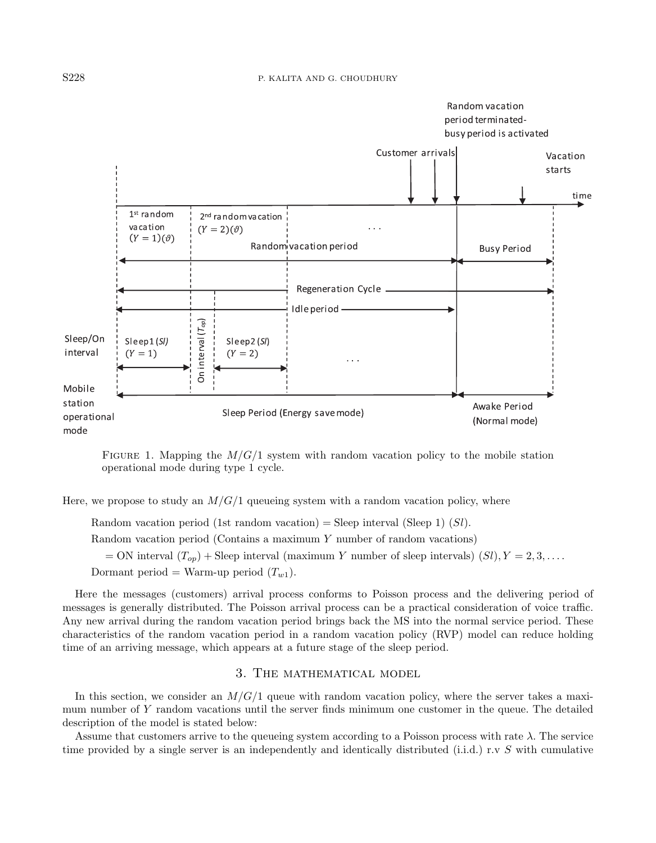

<span id="page-3-1"></span>FIGURE 1. Mapping the  $M/G/1$  system with random vacation policy to the mobile station operational mode during type 1 cycle.

Here, we propose to study an  $M/G/1$  queueing system with a random vacation policy, where

Random vacation period (1st random vacation) = Sleep interval (Sleep 1) (Sl).

Random vacation period (Contains a maximum Y number of random vacations)

 $=$  ON interval  $(T_{op})$  + Sleep interval (maximum Y number of sleep intervals)  $(Sl)$ ,  $Y = 2, 3, \ldots$ .

Dormant period = Warm-up period  $(T_{w1})$ .

Here the messages (customers) arrival process conforms to Poisson process and the delivering period of messages is generally distributed. The Poisson arrival process can be a practical consideration of voice traffic. Any new arrival during the random vacation period brings back the MS into the normal service period. These characteristics of the random vacation period in a random vacation policy (RVP) model can reduce holding time of an arriving message, which appears at a future stage of the sleep period.

## 3. The mathematical model

<span id="page-3-0"></span>In this section, we consider an  $M/G/1$  queue with random vacation policy, where the server takes a maximum number of Y random vacations until the server finds minimum one customer in the queue. The detailed description of the model is stated below:

Assume that customers arrive to the queueing system according to a Poisson process with rate  $\lambda$ . The service time provided by a single server is an independently and identically distributed (i.i.d.) r.v S with cumulative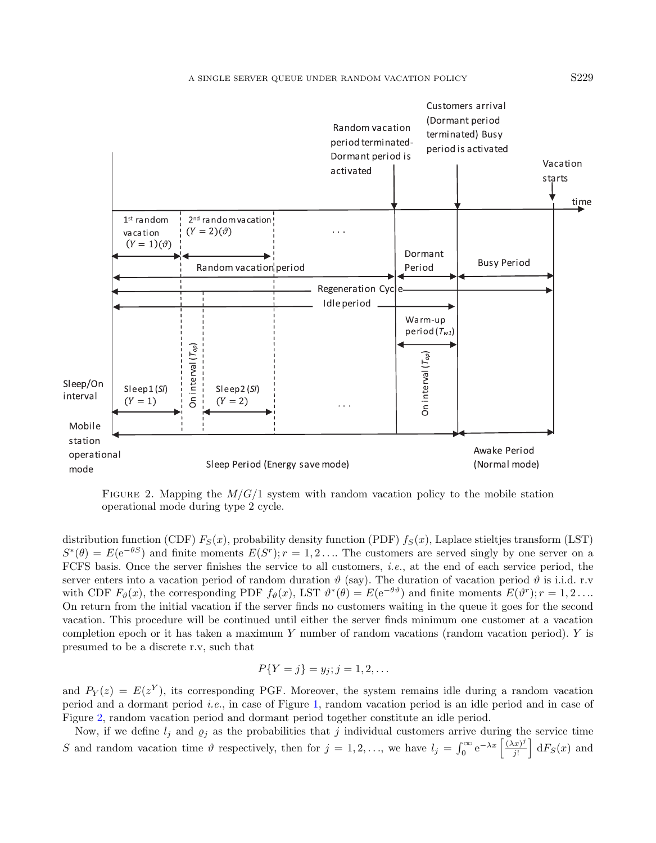

<span id="page-4-0"></span>FIGURE 2. Mapping the  $M/G/1$  system with random vacation policy to the mobile station operational mode during type 2 cycle.

distribution function (CDF)  $F_S(x)$ , probability density function (PDF)  $f_S(x)$ , Laplace stieltjes transform (LST)  $S^*(\theta) = E(e^{-\theta S})$  and finite moments  $E(S^r); r = 1, 2, \ldots$  The customers are served singly by one server on a FCFS basis. Once the server finishes the service to all customers, i.e., at the end of each service period, the server enters into a vacation period of random duration  $\vartheta$  (say). The duration of vacation period  $\vartheta$  is i.i.d. r.v with CDF  $F_{\vartheta}(x)$ , the corresponding PDF  $f_{\vartheta}(x)$ , LST  $\vartheta^*(\theta) = E(e^{-\theta \vartheta})$  and finite moments  $E(\vartheta^r); r = 1, 2, \ldots$ On return from the initial vacation if the server finds no customers waiting in the queue it goes for the second vacation. This procedure will be continued until either the server finds minimum one customer at a vacation completion epoch or it has taken a maximum Y number of random vacations (random vacation period). Y is presumed to be a discrete r.v, such that

$$
P\{Y = j\} = y_j; j = 1, 2, \dots
$$

and  $P_Y(z) = E(z^Y)$ , its corresponding PGF. Moreover, the system remains idle during a random vacation period and a dormant period i.e., in case of Figure [1,](#page-3-1) random vacation period is an idle period and in case of Figure [2,](#page-4-0) random vacation period and dormant period together constitute an idle period.

Now, if we define  $l_j$  and  $\varrho_j$  as the probabilities that j individual customers arrive during the service time S and random vacation time  $\vartheta$  respectively, then for  $j = 1, 2, \ldots$ , we have  $l_j = \int_0^\infty e^{-\lambda x} \left[ \frac{(\lambda x)^j}{j!} \right]$  $\frac{d(x)^j}{j!}$  d $F_S(x)$  and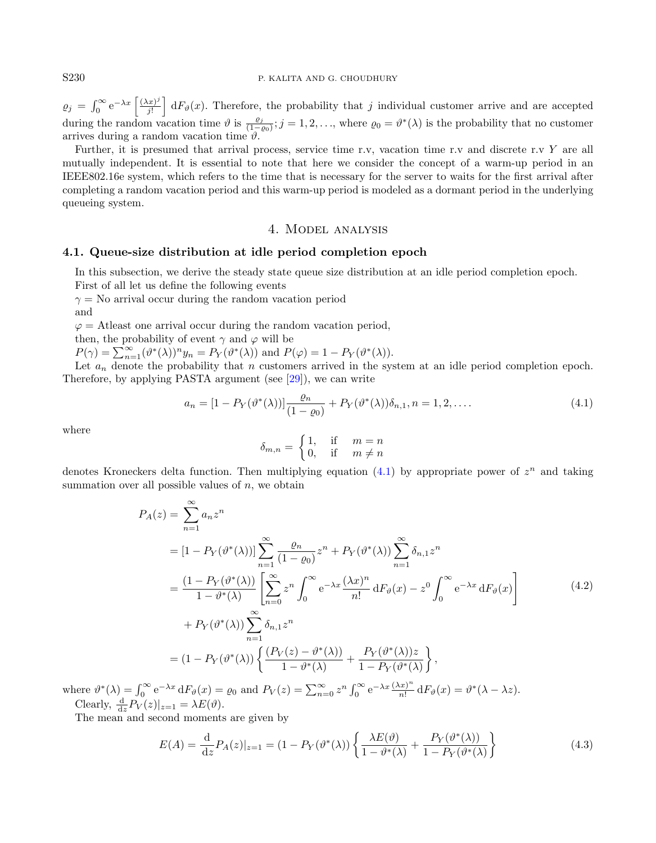$\varrho_j = \int_0^\infty e^{-\lambda x} \left[ \frac{(\lambda x)^j}{j!} \right]$  $\frac{f(x,y)}{f!}$  d $F_{\theta}(x)$ . Therefore, the probability that j individual customer arrive and are accepted during the random vacation time  $\vartheta$  is  $\frac{\varrho_j}{(1-\varrho_0)}$ ;  $j=1,2,\ldots$ , where  $\varrho_0=\vartheta^*(\lambda)$  is the probability that no customer arrives during a random vacation time  $\hat{v}$ .

Further, it is presumed that arrival process, service time r.v, vacation time r.v and discrete r.v Y are all mutually independent. It is essential to note that here we consider the concept of a warm-up period in an IEEE802.16e system, which refers to the time that is necessary for the server to waits for the first arrival after completing a random vacation period and this warm-up period is modeled as a dormant period in the underlying queueing system.

### <span id="page-5-3"></span><span id="page-5-1"></span>4. Model analysis

#### <span id="page-5-0"></span>4.1. Queue-size distribution at idle period completion epoch

In this subsection, we derive the steady state queue size distribution at an idle period completion epoch. First of all let us define the following events

 $\gamma =$ No arrival occur during the random vacation period and

 $\varphi =$  Atleast one arrival occur during the random vacation period,

then, the probability of event  $\gamma$  and  $\varphi$  will be

 $P(\gamma) = \sum_{n=1}^{\infty} (\vartheta^*(\lambda))^n y_n = P_Y(\vartheta^*(\lambda))$  and  $P(\varphi) = 1 - P_Y(\vartheta^*(\lambda)).$ 

Let  $a_n$  denote the probability that n customers arrived in the system at an idle period completion epoch. Therefore, by applying PASTA argument (see [\[29\]](#page-26-25)), we can write

$$
a_n = [1 - P_Y(\vartheta^*(\lambda))] \frac{\varrho_n}{(1 - \varrho_0)} + P_Y(\vartheta^*(\lambda)) \delta_{n,1}, n = 1, 2, \dots
$$
\n(4.1)

where

<span id="page-5-2"></span>
$$
\delta_{m,n} = \begin{cases} 1, & \text{if } m = n \\ 0, & \text{if } m \neq n \end{cases}
$$

denotes Kroneckers delta function. Then multiplying equation  $(4.1)$  by appropriate power of  $z<sup>n</sup>$  and taking summation over all possible values of  $n$ , we obtain

$$
P_A(z) = \sum_{n=1}^{\infty} a_n z^n
$$
  
\n
$$
= [1 - P_Y(\vartheta^*(\lambda))] \sum_{n=1}^{\infty} \frac{\varrho_n}{(1 - \varrho_0)} z^n + P_Y(\vartheta^*(\lambda)) \sum_{n=1}^{\infty} \delta_{n,1} z^n
$$
  
\n
$$
= \frac{(1 - P_Y(\vartheta^*(\lambda))}{1 - \vartheta^*(\lambda))} \left[ \sum_{n=0}^{\infty} z^n \int_0^{\infty} e^{-\lambda x} \frac{(\lambda x)^n}{n!} dF_{\vartheta}(x) - z^0 \int_0^{\infty} e^{-\lambda x} dF_{\vartheta}(x) \right]
$$
  
\n
$$
+ P_Y(\vartheta^*(\lambda)) \sum_{n=1}^{\infty} \delta_{n,1} z^n
$$
  
\n
$$
= (1 - P_Y(\vartheta^*(\lambda)) \left\{ \frac{(P_Y(z) - \vartheta^*(\lambda))}{1 - \vartheta^*(\lambda)} + \frac{P_Y(\vartheta^*(\lambda))z}{1 - P_Y(\vartheta^*(\lambda))} \right\},
$$
\n(4.2)

where  $\vartheta^*(\lambda) = \int_0^\infty e^{-\lambda x} dF_\vartheta(x) = \varrho_0$  and  $P_V(z) = \sum_{n=0}^\infty z^n \int_0^\infty e^{-\lambda x} \frac{(\lambda x)^n}{n!}$  $\frac{\partial^{(x)}(x)}{\partial x!} dF_{\vartheta}(x) = \vartheta^*(\lambda - \lambda z).$ Clearly,  $\frac{\mathrm{d}}{\mathrm{d}z}P_V(z)|_{z=1} = \lambda E(\vartheta)$ .

The mean and second moments are given by

$$
E(A) = \frac{d}{dz} P_A(z)|_{z=1} = (1 - P_Y(\vartheta^*(\lambda)) \left\{ \frac{\lambda E(\vartheta)}{1 - \vartheta^*(\lambda)} + \frac{P_Y(\vartheta^*(\lambda))}{1 - P_Y(\vartheta^*(\lambda))} \right\}
$$
(4.3)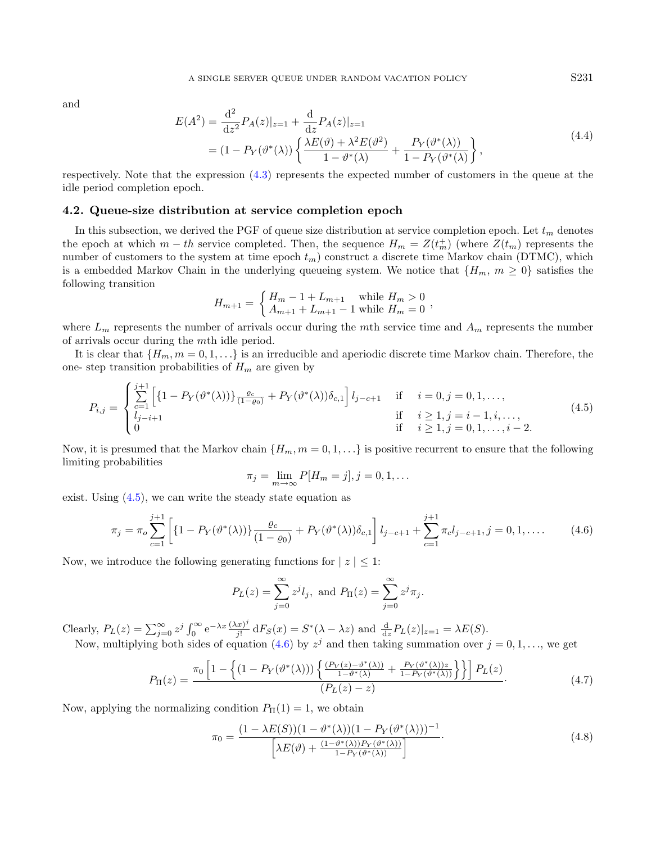and

$$
E(A^{2}) = \frac{d^{2}}{dz^{2}} P_{A}(z)|_{z=1} + \frac{d}{dz} P_{A}(z)|_{z=1}
$$
  
=  $(1 - P_{Y}(\vartheta^{*}(\lambda)) \left\{ \frac{\lambda E(\vartheta) + \lambda^{2} E(\vartheta^{2})}{1 - \vartheta^{*}(\lambda)} + \frac{P_{Y}(\vartheta^{*}(\lambda))}{1 - P_{Y}(\vartheta^{*}(\lambda))} \right\},$  (4.4)

respectively. Note that the expression [\(4.3\)](#page-5-2) represents the expected number of customers in the queue at the idle period completion epoch.

#### 4.2. Queue-size distribution at service completion epoch

In this subsection, we derived the PGF of queue size distribution at service completion epoch. Let  $t_m$  denotes the epoch at which  $m-th$  service completed. Then, the sequence  $H_m = Z(t_m^+)$  (where  $Z(t_m)$ ) represents the number of customers to the system at time epoch  $t_m$ ) construct a discrete time Markov chain (DTMC), which is a embedded Markov Chain in the underlying queueing system. We notice that  $\{H_m, m \geq 0\}$  satisfies the following transition

<span id="page-6-1"></span><span id="page-6-0"></span>
$$
H_{m+1} = \begin{cases} H_m - 1 + L_{m+1} & \text{while } H_m > 0\\ A_{m+1} + L_{m+1} - 1 & \text{while } H_m = 0 \end{cases}
$$

where  $L_m$  represents the number of arrivals occur during the mth service time and  $A_m$  represents the number of arrivals occur during the mth idle period.

It is clear that  $\{H_m, m = 0, 1, \ldots\}$  is an irreducible and aperiodic discrete time Markov chain. Therefore, the one- step transition probabilities of  $H_m$  are given by

$$
P_{i,j} = \begin{cases} \sum_{c=1}^{j+1} \left[ \{ 1 - P_Y(\vartheta^*(\lambda)) \} \frac{\varrho_c}{(1-\varrho_0)} + P_Y(\vartheta^*(\lambda)) \delta_{c,1} \right] l_{j-c+1} & \text{if } i = 0, j = 0, 1, \dots, \\ l_{j-i+1} & \text{if } i \ge 1, j = i-1, i, \dots, \\ 0 & \text{if } i \ge 1, j = 0, 1, \dots, i-2. \end{cases} \tag{4.5}
$$

Now, it is presumed that the Markov chain  $\{H_m, m = 0, 1, \ldots\}$  is positive recurrent to ensure that the following limiting probabilities

<span id="page-6-3"></span>
$$
\pi_j = \lim_{m \to \infty} P[H_m = j], j = 0, 1, \dots
$$

exist. Using  $(4.5)$ , we can write the steady state equation as

$$
\pi_j = \pi_o \sum_{c=1}^{j+1} \left[ \{ 1 - P_Y(\vartheta^*(\lambda)) \} \frac{\varrho_c}{(1-\varrho_0)} + P_Y(\vartheta^*(\lambda)) \delta_{c,1} \right] l_{j-c+1} + \sum_{c=1}^{j+1} \pi_c l_{j-c+1}, j = 0, 1, .... \tag{4.6}
$$

Now, we introduce the following generating functions for  $|z| \leq 1$ :

<span id="page-6-2"></span>
$$
P_L(z) = \sum_{j=0}^{\infty} z^j l_j
$$
, and  $P_{\Pi}(z) = \sum_{j=0}^{\infty} z^j \pi_j$ .

Clearly,  $P_L(z) = \sum_{j=0}^{\infty} z^j \int_0^{\infty} e^{-\lambda x} \frac{(\lambda x)^j}{j!}$  $\frac{dx^{\gamma}}{j!} dF_S(x) = S^*(\lambda - \lambda z)$  and  $\frac{d}{dz}P_L(z)|_{z=1} = \lambda E(S).$ Now, multiplying both sides of equation [\(4.6\)](#page-6-1) by  $z^{j}$  and then taking summation over  $j = 0, 1, ...,$  we get

$$
P_{\Pi}(z) = \frac{\pi_0 \left[ 1 - \left\{ (1 - P_Y(\vartheta^*(\lambda))) \left\{ \frac{(P_V(z) - \vartheta^*(\lambda))}{1 - \vartheta^*(\lambda)} + \frac{P_Y(\vartheta^*(\lambda))z}{1 - P_Y(\vartheta^*(\lambda))} \right\} \right\} \right] P_L(z)}{(P_L(z) - z)}.
$$
(4.7)

Now, applying the normalizing condition  $P_{\Pi}(1) = 1$ , we obtain

$$
\pi_0 = \frac{(1 - \lambda E(S))(1 - \vartheta^*(\lambda))(1 - P_Y(\vartheta^*(\lambda)))^{-1}}{\left[\lambda E(\vartheta) + \frac{(1 - \vartheta^*(\lambda))P_Y(\vartheta^*(\lambda))}{1 - P_Y(\vartheta^*(\lambda))}\right]}.
$$
\n(4.8)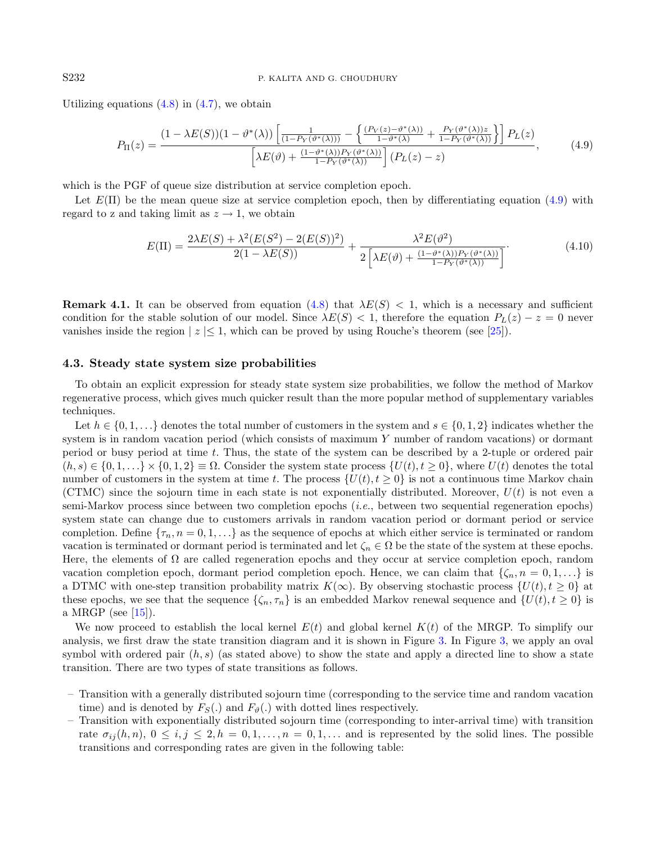Utilizing equations  $(4.8)$  in  $(4.7)$ , we obtain

<span id="page-7-0"></span>
$$
P_{\Pi}(z) = \frac{(1 - \lambda E(S))(1 - \vartheta^*(\lambda))\left[\frac{1}{(1 - P_Y(\vartheta^*(\lambda)))} - \left\{\frac{(P_Y(z) - \vartheta^*(\lambda))}{1 - \vartheta^*(\lambda)} + \frac{P_Y(\vartheta^*(\lambda))z}{1 - P_Y(\vartheta^*(\lambda))}\right\}\right]P_L(z)}{\left[\lambda E(\vartheta) + \frac{(1 - \vartheta^*(\lambda))P_Y(\vartheta^*(\lambda))}{1 - P_Y(\vartheta^*(\lambda))}\right](P_L(z) - z)},\tag{4.9}
$$

which is the PGF of queue size distribution at service completion epoch.

Let  $E(\Pi)$  be the mean queue size at service completion epoch, then by differentiating equation [\(4.9\)](#page-7-0) with regard to z and taking limit as  $z \to 1$ , we obtain

$$
E(\Pi) = \frac{2\lambda E(S) + \lambda^2 (E(S^2) - 2(E(S))^2)}{2(1 - \lambda E(S))} + \frac{\lambda^2 E(\vartheta^2)}{2\left[\lambda E(\vartheta) + \frac{(1 - \vartheta^*(\lambda))P_Y(\vartheta^*(\lambda))}{1 - P_Y(\vartheta^*(\lambda))}\right]}.
$$
(4.10)

**Remark 4.1.** It can be observed from equation [\(4.8\)](#page-6-2) that  $\lambda E(S) < 1$ , which is a necessary and sufficient condition for the stable solution of our model. Since  $\lambda E(S) < 1$ , therefore the equation  $P_L(z) - z = 0$  never vanishes inside the region  $|z| \leq 1$ , which can be proved by using Rouche's theorem (see [\[25\]](#page-26-26)).

# 4.3. Steady state system size probabilities

To obtain an explicit expression for steady state system size probabilities, we follow the method of Markov regenerative process, which gives much quicker result than the more popular method of supplementary variables techniques.

Let  $h \in \{0, 1, \ldots\}$  denotes the total number of customers in the system and  $s \in \{0, 1, 2\}$  indicates whether the system is in random vacation period (which consists of maximum Y number of random vacations) or dormant period or busy period at time t. Thus, the state of the system can be described by a 2-tuple or ordered pair  $(h, s) \in \{0, 1, \ldots\} \times \{0, 1, 2\} \equiv \Omega$ . Consider the system state process  $\{U(t), t \geq 0\}$ , where  $U(t)$  denotes the total number of customers in the system at time t. The process  $\{U(t), t \geq 0\}$  is not a continuous time Markov chain (CTMC) since the sojourn time in each state is not exponentially distributed. Moreover,  $U(t)$  is not even a semi-Markov process since between two completion epochs (i.e., between two sequential regeneration epochs) system state can change due to customers arrivals in random vacation period or dormant period or service completion. Define  $\{\tau_n, n = 0, 1, \ldots\}$  as the sequence of epochs at which either service is terminated or random vacation is terminated or dormant period is terminated and let  $\zeta_n \in \Omega$  be the state of the system at these epochs. Here, the elements of  $\Omega$  are called regeneration epochs and they occur at service completion epoch, random vacation completion epoch, dormant period completion epoch. Hence, we can claim that  $\{\zeta_n, n = 0, 1, ...\}$  is a DTMC with one-step transition probability matrix  $K(\infty)$ . By observing stochastic process  $\{U(t), t \geq 0\}$  at these epochs, we see that the sequence  $\{\zeta_n, \tau_n\}$  is an embedded Markov renewal sequence and  $\{U(t), t \geq 0\}$  is a MRGP (see  $[15]$ ).

We now proceed to establish the local kernel  $E(t)$  and global kernel  $K(t)$  of the MRGP. To simplify our analysis, we first draw the state transition diagram and it is shown in Figure [3.](#page-8-0) In Figure [3,](#page-8-0) we apply an oval symbol with ordered pair  $(h, s)$  (as stated above) to show the state and apply a directed line to show a state transition. There are two types of state transitions as follows.

- Transition with a generally distributed sojourn time (corresponding to the service time and random vacation time) and is denoted by  $F_S(.)$  and  $F_{\vartheta}(.)$  with dotted lines respectively.
- Transition with exponentially distributed sojourn time (corresponding to inter-arrival time) with transition rate  $\sigma_{ij}(h,n)$ ,  $0 \le i,j \le 2$ ,  $h = 0,1,..., n = 0,1,...$  and is represented by the solid lines. The possible transitions and corresponding rates are given in the following table: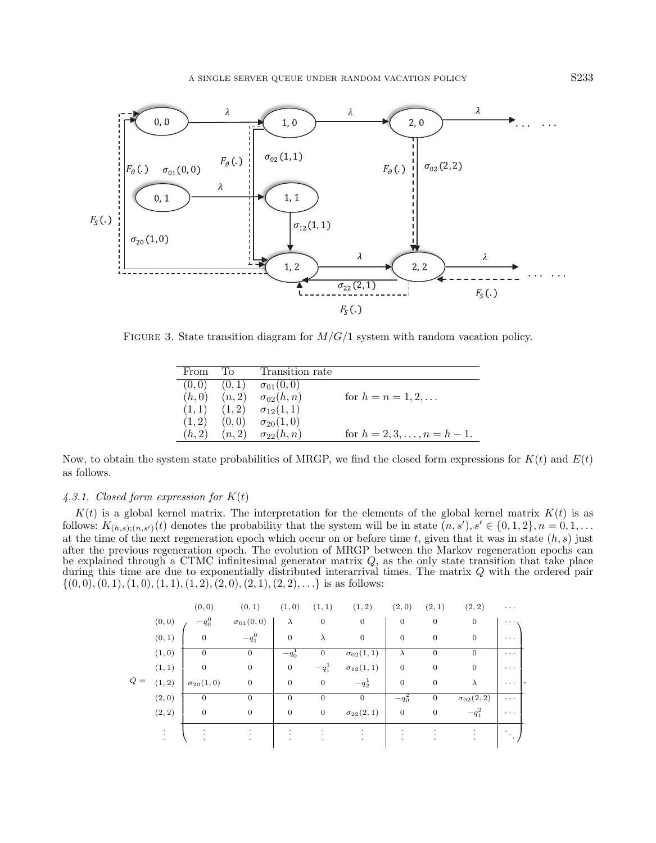<span id="page-8-0"></span>

FIGURE 3. State transition diagram for  $M/G/1$  system with random vacation policy.

| From   | ʻFo    | Transition rate    |                               |
|--------|--------|--------------------|-------------------------------|
| (0,0)  | (0,1)  | $\sigma_{01}(0,0)$ |                               |
| (h,0)  | (n,2)  | $\sigma_{02}(h,n)$ | for $h = n = 1, 2, $          |
| (1,1)  | (1,2)  | $\sigma_{12}(1,1)$ |                               |
| (1, 2) | (0,0)  | $\sigma_{20}(1,0)$ |                               |
| (h, 2) | (n, 2) | $\sigma_{22}(h,n)$ | for $h = 2, 3, , n = h - 1$ . |

Now, to obtain the system state probabilities of MRGP, we find the closed form expressions for  $K(t)$  and  $E(t)$ as follows.

#### 4.3.1. Closed form expression for  $K(t)$

 $K(t)$  is a global kernel matrix. The interpretation for the elements of the global kernel matrix  $K(t)$  is as follows:  $K_{(h,s),(n,s')}(t)$  denotes the probability that the system will be in state  $(n,s'), s' \in \{0,1,2\}, n = 0,1,\ldots$ at the time of the next regeneration epoch which occur on or before time t, given that it was in state  $(h, s)$  just after the previous regeneration epoch. The evolution of MRGP between the Markov regeneration epochs can be explained through a CTMC infinitesimal generator matrix  $Q$ , as the only state transition that take place during this time are due to exponentially distributed interarrival times. The matrix Q with the ordered pair  $\{(0, 0), (0, 1), (1, 0), (1, 1), (1, 2), (2, 0), (2, 1), (2, 2), \ldots\}$  is as follows:

|       |                         | (0, 0)             | (0, 1)             | (1,0)          | (1, 1)           | (1, 2)             | (2,0)        | (2, 1)         | (2, 2)             | $\cdots$               |
|-------|-------------------------|--------------------|--------------------|----------------|------------------|--------------------|--------------|----------------|--------------------|------------------------|
|       | (0, 0)                  | $-q_0^0$           | $\sigma_{01}(0,0)$ | $\lambda$      | $\boldsymbol{0}$ | $\mathbf{0}$       | $\mathbf{0}$ | $\mathbf{0}$   | $\overline{0}$     | .                      |
|       | (0, 1)                  | $\mathbf{0}$       | $-q_1^0$           | $\overline{0}$ | $\lambda$        | $\mathbf{0}$       | $\mathbf{0}$ | $\mathbf{0}$   | $\overline{0}$     | $\cdots$               |
|       | (1, 0)                  | $\overline{0}$     | $\theta$           | $-q_0$         | $\mathbf{0}$     | $\sigma_{02}(1,1)$ | $\lambda$    | $\mathbf{0}$   | $\overline{0}$     | $\cdots$               |
|       | (1, 1)                  | $\mathbf{0}$       | $\mathbf{0}$       | $\overline{0}$ | $-q_1^1$         | $\sigma_{12}(1,1)$ | $\mathbf{0}$ | $\mathbf{0}$   | $\overline{0}$     | $\cdots$               |
| $Q =$ | (1, 2)                  | $\sigma_{20}(1,0)$ | $\mathbf{0}$       | $\mathbf{0}$   | $\boldsymbol{0}$ | $-q_2^1$           | $\mathbf{0}$ | $\theta$       | $\lambda$          | $\cdots$               |
|       | (2,0)                   | 0                  | $\theta$           | $\mathbf{0}$   | $\mathbf{0}$     | $\overline{0}$     | $-q_0^2$     | $\overline{0}$ | $\sigma_{02}(2,2)$ | $\cdots$               |
|       | (2, 2)                  | $\mathbf{0}$       | $\theta$           | $\overline{0}$ | $\boldsymbol{0}$ | $\sigma_{22}(2,1)$ | $\mathbf{0}$ | $\overline{0}$ | $-q_1^2$           | $\cdots$               |
|       | ٠<br>$\cdot$<br>$\cdot$ |                    | ٠                  |                |                  | $\cdot$            |              |                |                    | $\bullet$<br>$\bullet$ |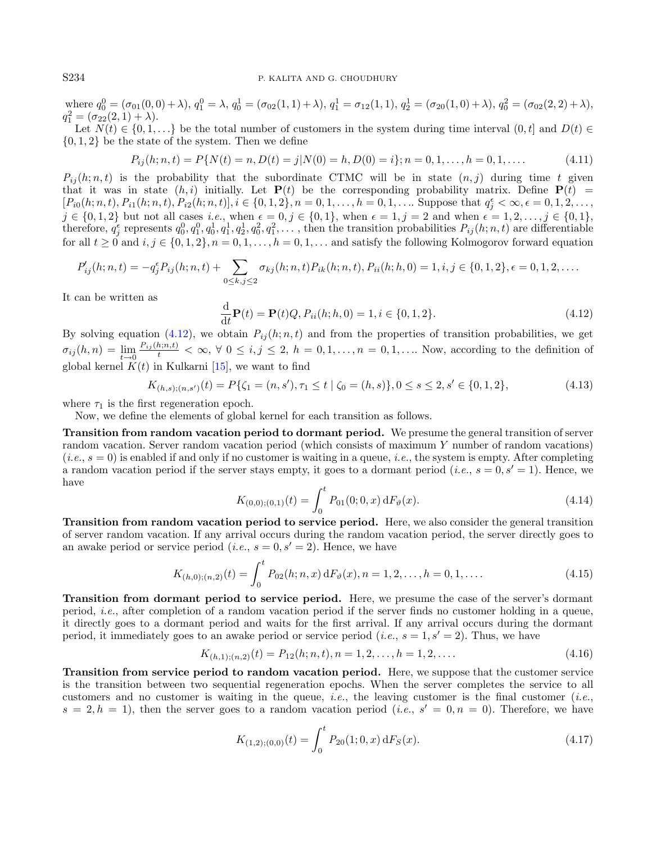where  $q_0^0 = (\sigma_{01}(0,0) + \lambda), q_1^0 = \lambda, q_0^1 = (\sigma_{02}(1,1) + \lambda), q_1^1 = \sigma_{12}(1,1), q_2^1 = (\sigma_{20}(1,0) + \lambda), q_0^2 = (\sigma_{02}(2,2) + \lambda),$  $q_1^2 = (\sigma_{22}(2,1) + \lambda).$ 

Let  $N(t) \in \{0, 1, \ldots\}$  be the total number of customers in the system during time interval  $(0, t]$  and  $D(t) \in$  $\{0, 1, 2\}$  be the state of the system. Then we define

<span id="page-9-0"></span>
$$
P_{ij}(h; n, t) = P\{N(t) = n, D(t) = j | N(0) = h, D(0) = i\}; n = 0, 1, \dots, h = 0, 1, \dots
$$
\n(4.11)

 $P_{ij}(h; n, t)$  is the probability that the subordinate CTMC will be in state  $(n, j)$  during time t given that it was in state  $(h, i)$  initially. Let  $P(t)$  be the corresponding probability matrix. Define  $P(t)$  =  $[P_{i0}(h; n, t), P_{i1}(h; n, t), P_{i2}(h; n, t)], i \in \{0, 1, 2\}, n = 0, 1, \ldots, h = 0, 1, \ldots$  Suppose that  $q_j^{\epsilon} < \infty, \epsilon = 0, 1, 2, \ldots$  $j \in \{0,1,2\}$  but not all cases *i.e.*, when  $\epsilon = 0, j \in \{0,1\}$ , when  $\epsilon = 1, j = 2$  and when  $\epsilon = 1, 2, \ldots, j \in \{0,1\}$ , therefore,  $q_j^{\epsilon}$  represents  $q_0^0, q_1^0, q_1^1, q_2^1, q_0^2, q_1^2, \ldots$ , then the transition probabilities  $P_{ij}(h; n, t)$  are differentiable for all  $t \ge 0$  and  $i, j \in \{0, 1, 2\}, n = 0, 1, \ldots, h = 0, 1, \ldots$  and satisfy the following Kolmogorov forward equation

$$
P'_{ij}(h; n, t) = -q_j^{\epsilon} P_{ij}(h; n, t) + \sum_{0 \le k, j \le 2} \sigma_{kj}(h; n, t) P_{ik}(h; n, t), P_{ii}(h; h, 0) = 1, i, j \in \{0, 1, 2\}, \epsilon = 0, 1, 2, \ldots
$$

It can be written as

<span id="page-9-1"></span>
$$
\frac{\mathrm{d}}{\mathrm{d}t}\mathbf{P}(t) = \mathbf{P}(t)Q, P_{ii}(h; h, 0) = 1, i \in \{0, 1, 2\}.
$$
\n(4.12)

By solving equation [\(4.12\)](#page-9-0), we obtain  $P_{ij}(h; n, t)$  and from the properties of transition probabilities, we get  $\sigma_{ij}(h,n) = \lim_{t \to 0} \frac{P_{ij}(h;n,t)}{t} < \infty, \forall 0 \leq i,j \leq 2, h = 0,1,\ldots,n = 0,1,\ldots$  Now, according to the definition of global kernel  $K(t)$  in Kulkarni [\[15\]](#page-26-27), we want to find

$$
K_{(h,s);(n,s')}(t) = P\{\zeta_1 = (n,s'), \tau_1 \le t \mid \zeta_0 = (h,s)\}, 0 \le s \le 2, s' \in \{0,1,2\},\tag{4.13}
$$

where  $\tau_1$  is the first regeneration epoch.

Now, we define the elements of global kernel for each transition as follows.

Transition from random vacation period to dormant period. We presume the general transition of server random vacation. Server random vacation period (which consists of maximum Y number of random vacations)  $(i.e., s = 0)$  is enabled if and only if no customer is waiting in a queue, *i.e.*, the system is empty. After completing a random vacation period if the server stays empty, it goes to a dormant period (*i.e.*,  $s = 0, s' = 1$ ). Hence, we have

$$
K_{(0,0);(0,1)}(t) = \int_0^t P_{01}(0;0,x) \, dF_{\theta}(x). \tag{4.14}
$$

Transition from random vacation period to service period. Here, we also consider the general transition of server random vacation. If any arrival occurs during the random vacation period, the server directly goes to an awake period or service period (*i.e.*,  $s = 0, s' = 2$ ). Hence, we have

$$
K_{(h,0),(n,2)}(t) = \int_0^t P_{02}(h;n,x) \, dF_{\vartheta}(x), n = 1,2,\ldots, h = 0,1,\ldots
$$
\n(4.15)

Transition from dormant period to service period. Here, we presume the case of the server's dormant period, i.e., after completion of a random vacation period if the server finds no customer holding in a queue, it directly goes to a dormant period and waits for the first arrival. If any arrival occurs during the dormant period, it immediately goes to an awake period or service period (*i.e.*,  $s = 1, s' = 2$ ). Thus, we have

$$
K_{(h,1);(n,2)}(t) = P_{12}(h;n,t), n = 1,2,\dots, h = 1,2,\dots
$$
\n(4.16)

Transition from service period to random vacation period. Here, we suppose that the customer service is the transition between two sequential regeneration epochs. When the server completes the service to all customers and no customer is waiting in the queue, *i.e.*, the leaving customer is the final customer (*i.e.*,  $s = 2, h = 1$ , then the server goes to a random vacation period (*i.e.*,  $s' = 0, n = 0$ ). Therefore, we have

$$
K_{(1,2),(0,0)}(t) = \int_0^t P_{20}(1;0,x) \, dF_S(x). \tag{4.17}
$$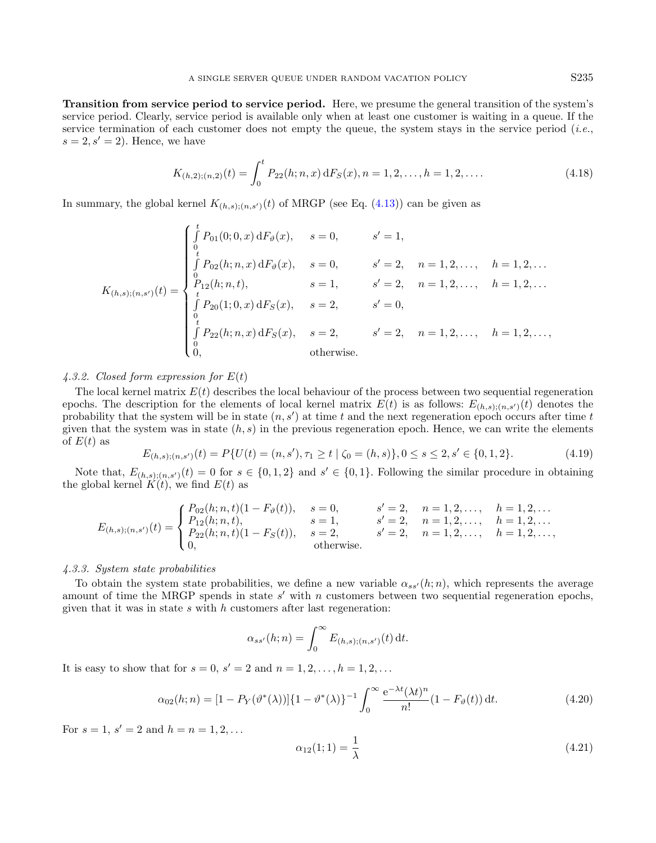Transition from service period to service period. Here, we presume the general transition of the system's service period. Clearly, service period is available only when at least one customer is waiting in a queue. If the service termination of each customer does not empty the queue, the system stays in the service period (*i.e.*,  $s = 2, s' = 2$ . Hence, we have

$$
K_{(h,2),(n,2)}(t) = \int_0^t P_{22}(h;n,x) \, dF_S(x), n = 1,2,\dots, h = 1,2,\dots
$$
\n(4.18)

In summary, the global kernel  $K_{(h,s):(n,s')}(t)$  of MRGP (see Eq. [\(4.13\)](#page-9-1)) can be given as

$$
K_{(h,s);(n,s')}(t) = \begin{cases} \int\limits_0^t P_{01}(0;0,x) dF_{\vartheta}(x), & s = 0, & s' = 1, \\ \int\limits_0^t P_{02}(h;n,x) dF_{\vartheta}(x), & s = 0, & s' = 2, & n = 1,2,\ldots, & h = 1,2,\ldots \\ \int\limits_0^0 P_{12}(h;n,t), & s = 1, & s' = 2, & n = 1,2,\ldots, & h = 1,2,\ldots \\ \int\limits_0^0 P_{20}(1;0,x) dF_{S}(x), & s = 2, & s' = 0, \\ \int\limits_0^t P_{22}(h;n,x) dF_{S}(x), & s = 2, & s' = 2, & n = 1,2,\ldots, & h = 1,2,\ldots, \\ 0, & \text{otherwise.} \end{cases}
$$

#### 4.3.2. Closed form expression for  $E(t)$

The local kernel matrix  $E(t)$  describes the local behaviour of the process between two sequential regeneration epochs. The description for the elements of local kernel matrix  $E(t)$  is as follows:  $E_{(h,s):(n,s')}(t)$  denotes the probability that the system will be in state  $(n, s')$  at time t and the next regeneration epoch occurs after time t given that the system was in state  $(h, s)$  in the previous regeneration epoch. Hence, we can write the elements of  $E(t)$  as

$$
E_{(h,s);(n,s')}(t) = P\{U(t) = (n,s'), \tau_1 \ge t \mid \zeta_0 = (h,s)\}, 0 \le s \le 2, s' \in \{0,1,2\}.
$$
\n
$$
(4.19)
$$

Note that,  $E_{(h,s),(n,s')}(t) = 0$  for  $s \in \{0,1,2\}$  and  $s' \in \{0,1\}$ . Following the similar procedure in obtaining the global kernel  $K(t)$ , we find  $E(t)$  as

$$
E_{(h,s);(n,s')}(t) = \begin{cases} P_{02}(h; n, t)(1 - F_{\vartheta}(t)), & s = 0, & s' = 2, n = 1, 2, \ldots, h = 1, 2, \ldots \\ P_{12}(h; n, t), & s = 1, s' = 2, n = 1, 2, \ldots, h = 1, 2, \ldots \\ P_{22}(h; n, t)(1 - F_{S}(t)), & s = 2, s' = 2, n = 1, 2, \ldots, h = 1, 2, \ldots, \\ 0, & \text{otherwise.} \end{cases}
$$

#### 4.3.3. System state probabilities

To obtain the system state probabilities, we define a new variable  $\alpha_{ss'}(h; n)$ , which represents the average amount of time the MRGP spends in state  $s'$  with n customers between two sequential regeneration epochs, given that it was in state  $s$  with  $h$  customers after last regeneration:

$$
\alpha_{ss'}(h;n) = \int_0^\infty E_{(h,s);(n,s')}(t) dt.
$$

It is easy to show that for  $s = 0, s' = 2$  and  $n = 1, 2, ..., h = 1, 2, ...$ 

$$
\alpha_{02}(h;n) = [1 - P_Y(\vartheta^*(\lambda))] \{1 - \vartheta^*(\lambda)\}^{-1} \int_0^\infty \frac{e^{-\lambda t} (\lambda t)^n}{n!} (1 - F_\vartheta(t)) dt.
$$
 (4.20)

For  $s = 1, s' = 2$  and  $h = n = 1, 2, ...$ 

$$
\alpha_{12}(1;1) = \frac{1}{\lambda} \tag{4.21}
$$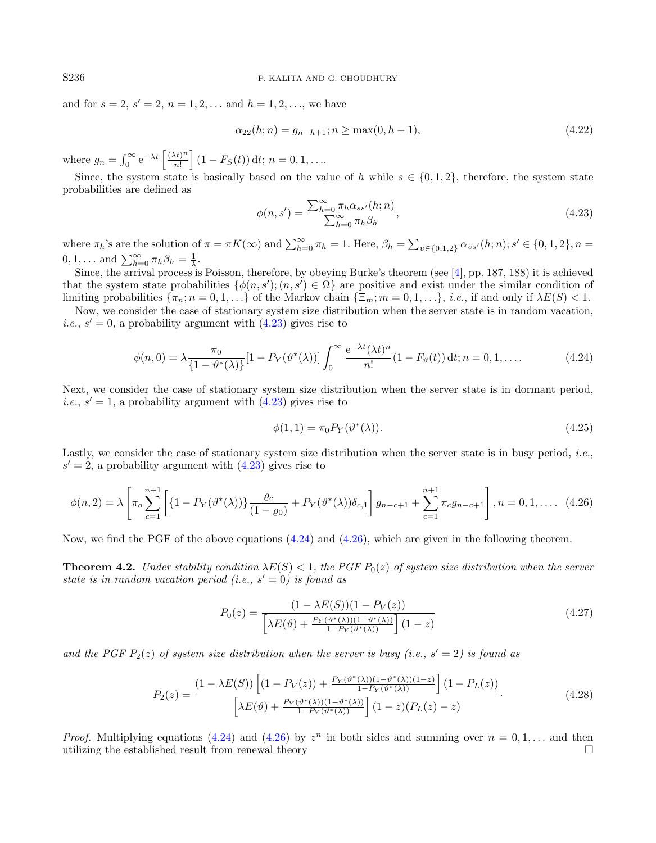and for  $s = 2, s' = 2, n = 1, 2, \dots$  and  $h = 1, 2, \dots$ , we have

<span id="page-11-0"></span>
$$
\alpha_{22}(h;n) = g_{n-h+1}; n \ge \max(0, h-1),\tag{4.22}
$$

where  $g_n = \int_0^\infty e^{-\lambda t} \left[ \frac{(\lambda t)^n}{n!} \right]$  $\left[\frac{(ht)^n}{n!}\right] (1 - F_S(t)) dt; n = 0, 1, \ldots$ 

Since, the system state is basically based on the value of h while  $s \in \{0, 1, 2\}$ , therefore, the system state probabilities are defined as

<span id="page-11-2"></span><span id="page-11-1"></span>
$$
\phi(n,s') = \frac{\sum_{h=0}^{\infty} \pi_h \alpha_{ss'}(h;n)}{\sum_{h=0}^{\infty} \pi_h \beta_h},\tag{4.23}
$$

where  $\pi_h$ 's are the solution of  $\pi = \pi K(\infty)$  and  $\sum_{h=0}^{\infty} \pi_h = 1$ . Here,  $\beta_h = \sum_{v \in \{0,1,2\}} \alpha_{vs'}(h; n); s' \in \{0,1,2\}, n =$  $0, 1, \ldots$  and  $\sum_{h=0}^{\infty} \pi_h \beta_h = \frac{1}{\lambda}$ .

Since, the arrival process is Poisson, therefore, by obeying Burke's theorem (see [\[4\]](#page-26-28), pp. 187, 188) it is achieved that the system state probabilities  $\{\phi(n, s'); (n, s') \in \Omega\}$  are positive and exist under the similar condition of limiting probabilities  $\{\pi_n; n = 0, 1, ...\}$  of the Markov chain  $\{\Xi_m; m = 0, 1, ...\}$ , *i.e.*, if and only if  $\lambda E(S) < 1$ .

Now, we consider the case of stationary system size distribution when the server state is in random vacation, *i.e.*,  $s' = 0$ , a probability argument with  $(4.23)$  gives rise to

$$
\phi(n,0) = \lambda \frac{\pi_0}{\{1 - \vartheta^*(\lambda)\}} [1 - P_Y(\vartheta^*(\lambda))] \int_0^\infty \frac{e^{-\lambda t} (\lambda t)^n}{n!} (1 - F_\vartheta(t)) dt; n = 0, 1, .... \tag{4.24}
$$

Next, we consider the case of stationary system size distribution when the server state is in dormant period, *i.e.*,  $s' = 1$ , a probability argument with  $(4.23)$  gives rise to

<span id="page-11-4"></span><span id="page-11-3"></span>
$$
\phi(1,1) = \pi_0 P_Y(\vartheta^*(\lambda)).\tag{4.25}
$$

Lastly, we consider the case of stationary system size distribution when the server state is in busy period, *i.e.*,  $s' = 2$ , a probability argument with  $(4.23)$  gives rise to

$$
\phi(n,2) = \lambda \left[ \pi_o \sum_{c=1}^{n+1} \left[ \left\{ 1 - P_Y(\vartheta^*(\lambda)) \right\} \frac{\varrho_c}{(1-\varrho_0)} + P_Y(\vartheta^*(\lambda)) \delta_{c,1} \right] g_{n-c+1} + \sum_{c=1}^{n+1} \pi_c g_{n-c+1} \right], n = 0,1,\dots \tag{4.26}
$$

<span id="page-11-5"></span>Now, we find the PGF of the above equations  $(4.24)$  and  $(4.26)$ , which are given in the following theorem.

**Theorem 4.2.** Under stability condition  $\lambda E(S) < 1$ , the PGF  $P_0(z)$  of system size distribution when the server state is in random vacation period (i.e.,  $s' = 0$ ) is found as

$$
P_0(z) = \frac{(1 - \lambda E(S))(1 - P_V(z))}{\left[\lambda E(\vartheta) + \frac{P_V(\vartheta^*(\lambda))(1 - \vartheta^*(\lambda))}{1 - P_V(\vartheta^*(\lambda))}\right](1 - z)}
$$
(4.27)

and the PGF  $P_2(z)$  of system size distribution when the server is busy (i.e.,  $s' = 2$ ) is found as

$$
P_2(z) = \frac{(1 - \lambda E(S)) \left[ (1 - P_V(z)) + \frac{P_Y(\vartheta^*(\lambda))(1 - \vartheta^*(\lambda))(1 - z)}{1 - P_Y(\vartheta^*(\lambda))} \right] (1 - P_L(z))}{\left[ \lambda E(\vartheta) + \frac{P_Y(\vartheta^*(\lambda))(1 - \vartheta^*(\lambda))}{1 - P_Y(\vartheta^*(\lambda))} \right] (1 - z)(P_L(z) - z)}.
$$
(4.28)

*Proof.* Multiplying equations [\(4.24\)](#page-11-1) and [\(4.26\)](#page-11-2) by  $z^n$  in both sides and summing over  $n = 0, 1, \ldots$  and then utilizing the established result from renewal theory  $\Box$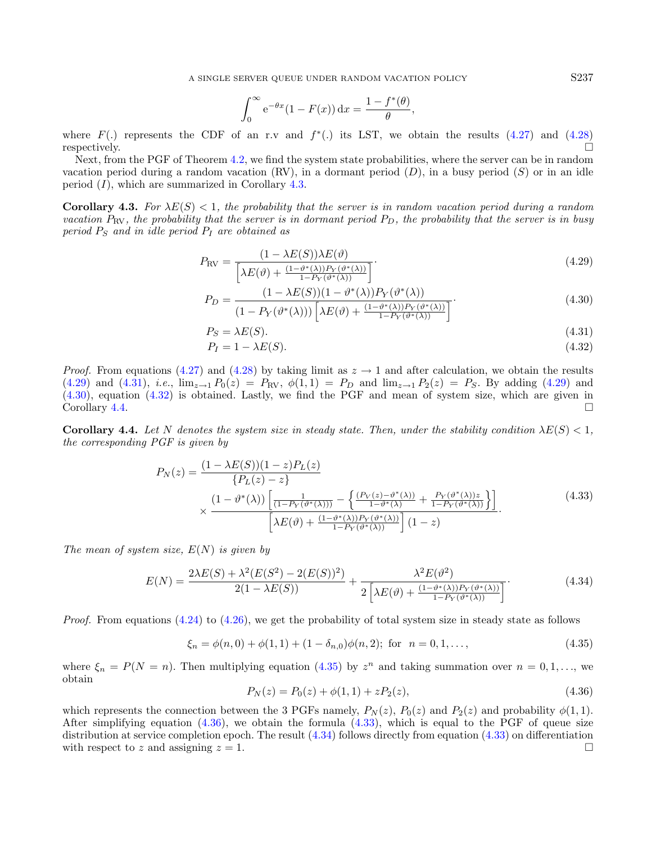A SINGLE SERVER QUEUE UNDER RANDOM VACATION POLICY S237

$$
\int_0^\infty e^{-\theta x} (1 - F(x)) dx = \frac{1 - f^*(\theta)}{\theta},
$$

where  $F(.)$  represents the CDF of an r.v and  $f^*(.)$  its LST, we obtain the results  $(4.27)$  and  $(4.28)$ respectively.  $\Box$ 

Next, from the PGF of Theorem [4.2,](#page-11-5) we find the system state probabilities, where the server can be in random vacation period during a random vacation  $(RV)$ , in a dormant period  $(D)$ , in a busy period  $(S)$  or in an idle period  $(I)$ , which are summarized in Corollary [4.3.](#page-12-0)

<span id="page-12-0"></span>**Corollary 4.3.** For  $\lambda E(S) < 1$ , the probability that the server is in random vacation period during a random vacation  $P_{\rm RV}$ , the probability that the server is in dormant period  $P_D$ , the probability that the server is in busy period  $P_S$  and in idle period  $P_I$  are obtained as

$$
P_{\rm RV} = \frac{(1 - \lambda E(S))\lambda E(\vartheta)}{\left[\lambda E(\vartheta) + \frac{(1 - \vartheta^*(\lambda))P_Y(\vartheta^*(\lambda))}{1 - P_Y(\vartheta^*(\lambda))}\right]}.
$$
(4.29)

<span id="page-12-8"></span>
$$
P_D = \frac{(1 - \lambda E(S))(1 - \vartheta^*(\lambda))P_Y(\vartheta^*(\lambda))}{(1 - P_Y(\vartheta^*(\lambda)))\left[\lambda E(\vartheta) + \frac{(1 - \vartheta^*(\lambda))P_Y(\vartheta^*(\lambda))}{1 - P_Y(\vartheta^*(\lambda))}\right]}.
$$
\n(4.30)

$$
P_S = \lambda E(S). \tag{4.31}
$$

<span id="page-12-9"></span>
$$
P_I = 1 - \lambda E(S). \tag{4.32}
$$

*Proof.* From equations [\(4.27\)](#page-11-3) and [\(4.28\)](#page-11-4) by taking limit as  $z \to 1$  and after calculation, we obtain the results  $(4.29)$  and  $(4.31)$ , *i.e.*,  $\lim_{z\to 1} P_0(z) = P_{\text{RV}}$ ,  $\phi(1,1) = P_D$  and  $\lim_{z\to 1} P_2(z) = P_S$ . By adding (4.29) and [\(4.30\)](#page-12-3), equation [\(4.32\)](#page-12-4) is obtained. Lastly, we find the PGF and mean of system size, which are given in  $\Box$   $\Box$ 

<span id="page-12-5"></span>**Corollary 4.4.** Let N denotes the system size in steady state. Then, under the stability condition  $\lambda E(S) < 1$ , the corresponding PGF is given by

$$
P_N(z) = \frac{(1 - \lambda E(S))(1 - z)P_L(z)}{\{P_L(z) - z\}}
$$
  
 
$$
\times \frac{(1 - \vartheta^*(\lambda))\left[\frac{1}{(1 - P_Y(\vartheta^*(\lambda)))} - \left\{\frac{(P_V(z) - \vartheta^*(\lambda))}{1 - \vartheta^*(\lambda)} + \frac{P_Y(\vartheta^*(\lambda))z}{1 - P_Y(\vartheta^*(\lambda))}\right\}\right]}{\left[\lambda E(\vartheta) + \frac{(1 - \vartheta^*(\lambda))P_Y(\vartheta^*(\lambda))}{1 - P_Y(\vartheta^*(\lambda))}\right](1 - z)}.
$$
(4.33)

<span id="page-12-7"></span>The mean of system size,  $E(N)$  is given by

$$
E(N) = \frac{2\lambda E(S) + \lambda^2 (E(S^2) - 2(E(S))^2)}{2(1 - \lambda E(S))} + \frac{\lambda^2 E(\vartheta^2)}{2\left[\lambda E(\vartheta) + \frac{(1 - \vartheta^*(\lambda))P_Y(\vartheta^*(\lambda))}{1 - P_Y(\vartheta^*(\lambda))}\right]}.
$$
(4.34)

*Proof.* From equations  $(4.24)$  to  $(4.26)$ , we get the probability of total system size in steady state as follows

$$
\xi_n = \phi(n,0) + \phi(1,1) + (1 - \delta_{n,0})\phi(n,2); \text{ for } n = 0,1,\dots,
$$
\n(4.35)

where  $\xi_n = P(N = n)$ . Then multiplying equation [\(4.35\)](#page-12-6) by  $z^n$  and taking summation over  $n = 0, 1, \ldots$ , we obtain

$$
P_N(z) = P_0(z) + \phi(1, 1) + zP_2(z), \tag{4.36}
$$

which represents the connection between the 3 PGFs namely,  $P_N(z)$ ,  $P_0(z)$  and  $P_2(z)$  and probability  $\phi(1,1)$ . After simplifying equation  $(4.36)$ , we obtain the formula  $(4.33)$ , which is equal to the PGF of queue size distribution at service completion epoch. The result [\(4.34\)](#page-12-9) follows directly from equation [\(4.33\)](#page-12-8) on differentiation with respect to z and assigning  $z = 1$ .

<span id="page-12-6"></span><span id="page-12-4"></span><span id="page-12-3"></span><span id="page-12-2"></span><span id="page-12-1"></span>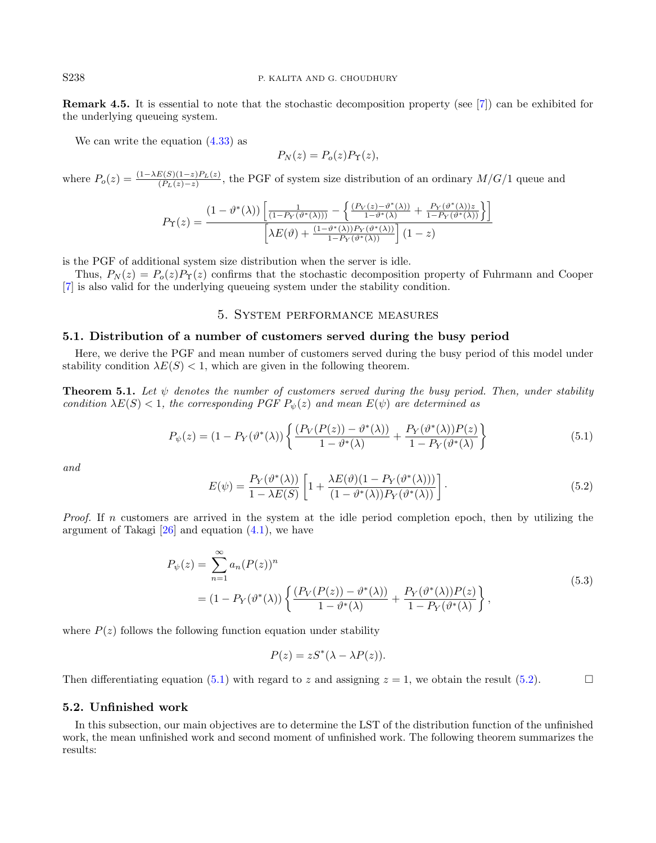Remark 4.5. It is essential to note that the stochastic decomposition property (see [\[7\]](#page-26-29)) can be exhibited for the underlying queueing system.

We can write the equation  $(4.33)$  as

<span id="page-13-1"></span>
$$
P_N(z) = P_o(z) P_\Upsilon(z),
$$

where  $P_o(z) = \frac{(1-\lambda E(S)(1-z)P_L(z)}{(P_L(z)-z)}$ , the PGF of system size distribution of an ordinary  $M/G/1$  queue and

$$
P_{\Upsilon}(z) = \frac{(1 - \vartheta^*(\lambda)) \left[ \frac{1}{(1 - P_Y(\vartheta^*(\lambda)))} - \left\{ \frac{(P_V(z) - \vartheta^*(\lambda))}{1 - \vartheta^*(\lambda)} + \frac{P_Y(\vartheta^*(\lambda))z}{1 - P_Y(\vartheta^*(\lambda))} \right\} \right]}{\left[ \lambda E(\vartheta) + \frac{(1 - \vartheta^*(\lambda))P_Y(\vartheta^*(\lambda))}{1 - P_Y(\vartheta^*(\lambda))} \right] (1 - z)}
$$

is the PGF of additional system size distribution when the server is idle.

Thus,  $P_N(z) = P_0(z)P_\Upsilon(z)$  confirms that the stochastic decomposition property of Fuhrmann and Cooper [\[7\]](#page-26-29) is also valid for the underlying queueing system under the stability condition.

# 5. System performance measures

#### <span id="page-13-2"></span><span id="page-13-0"></span>5.1. Distribution of a number of customers served during the busy period

Here, we derive the PGF and mean number of customers served during the busy period of this model under stability condition  $\lambda E(S) < 1$ , which are given in the following theorem.

**Theorem 5.1.** Let  $\psi$  denotes the number of customers served during the busy period. Then, under stability condition  $\lambda E(S) < 1$ , the corresponding PGF  $P_{\psi}(z)$  and mean  $E(\psi)$  are determined as

$$
P_{\psi}(z) = (1 - P_{Y}(\vartheta^{*}(\lambda)) \left\{ \frac{(P_{V}(P(z)) - \vartheta^{*}(\lambda))}{1 - \vartheta^{*}(\lambda)} + \frac{P_{Y}(\vartheta^{*}(\lambda))P(z)}{1 - P_{Y}(\vartheta^{*}(\lambda))} \right\}
$$
(5.1)

and

$$
E(\psi) = \frac{P_Y(\vartheta^*(\lambda))}{1 - \lambda E(S)} \left[ 1 + \frac{\lambda E(\vartheta)(1 - P_Y(\vartheta^*(\lambda)))}{(1 - \vartheta^*(\lambda))P_Y(\vartheta^*(\lambda))} \right].
$$
\n(5.2)

*Proof.* If n customers are arrived in the system at the idle period completion epoch, then by utilizing the argument of Takagi  $[26]$  and equation  $(4.1)$ , we have

$$
P_{\psi}(z) = \sum_{n=1}^{\infty} a_n (P(z))^n
$$
  
=  $(1 - P_Y(\vartheta^*(\lambda))) \left\{ \frac{(P_V(P(z)) - \vartheta^*(\lambda))}{1 - \vartheta^*(\lambda)} + \frac{P_V(\vartheta^*(\lambda))P(z)}{1 - P_V(\vartheta^*(\lambda))} \right\},$  (5.3)

where  $P(z)$  follows the following function equation under stability

$$
P(z) = zS^*(\lambda - \lambda P(z)).
$$

Then differentiating equation [\(5.1\)](#page-13-1) with regard to z and assigning  $z = 1$ , we obtain the result [\(5.2\)](#page-13-2).

## 5.2. Unfinished work

In this subsection, our main objectives are to determine the LST of the distribution function of the unfinished work, the mean unfinished work and second moment of unfinished work. The following theorem summarizes the results: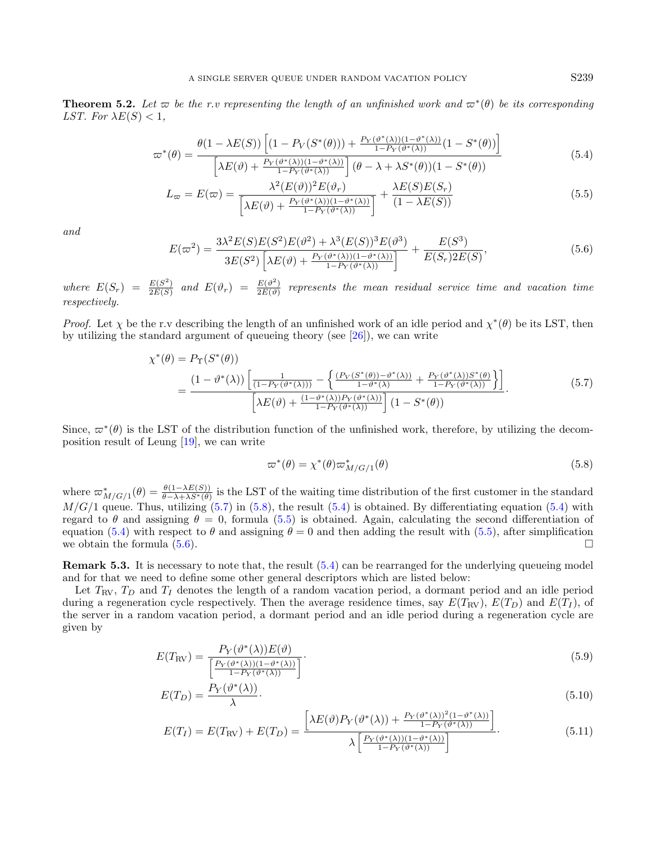<span id="page-14-4"></span>**Theorem 5.2.** Let  $\varpi$  be the r.v representing the length of an unfinished work and  $\varpi^*(\theta)$  be its corresponding LST. For  $\lambda E(S) < 1$ ,

$$
\varpi^*(\theta) = \frac{\theta(1 - \lambda E(S)) \left[ (1 - P_V(S^*(\theta))) + \frac{P_V(\vartheta^*(\lambda))(1 - \vartheta^*(\lambda))}{1 - P_V(\vartheta^*(\lambda))} (1 - S^*(\theta)) \right]}{\left[ \lambda E(\vartheta) + \frac{P_V(\vartheta^*(\lambda))(1 - \vartheta^*(\lambda))}{1 - P_V(\vartheta^*(\lambda))} \right] (\theta - \lambda + \lambda S^*(\theta))(1 - S^*(\theta))}
$$
(5.4)

$$
L_{\varpi} = E(\varpi) = \frac{\lambda^2 (E(\vartheta))^2 E(\vartheta_r)}{\left[\lambda E(\vartheta) + \frac{P_Y(\vartheta^*(\lambda))(1 - \vartheta^*(\lambda))}{1 - P_Y(\vartheta^*(\lambda))}\right]} + \frac{\lambda E(S)E(S_r)}{(1 - \lambda E(S))}
$$
(5.5)

and

<span id="page-14-1"></span>
$$
E(\varpi^2) = \frac{3\lambda^2 E(S)E(S^2)E(\vartheta^2) + \lambda^3 (E(S))^3 E(\vartheta^3)}{3E(S^2) \left[\lambda E(\vartheta) + \frac{P_Y(\vartheta^*(\lambda))(1-\vartheta^*(\lambda))}{1 - P_Y(\vartheta^*(\lambda))}\right]} + \frac{E(S^3)}{E(S_r)2E(S)},
$$
\n(5.6)

where  $E(S_r) = \frac{E(S^2)}{2E(S)}$  $\frac{E(S^2)}{2E(S)}$  and  $E(\vartheta_r) = \frac{E(\vartheta^2)}{2E(\vartheta)}$  $rac{E(v)}{2E(\vartheta)}$  represents the mean residual service time and vacation time respectively.

Proof. Let  $\chi$  be the r.v describing the length of an unfinished work of an idle period and  $\chi^*(\theta)$  be its LST, then by utilizing the standard argument of queueing theory (see [\[26\]](#page-26-2)), we can write

$$
\chi^*(\theta) = P_{\Upsilon}(S^*(\theta))
$$
\n
$$
= \frac{(1 - \vartheta^*(\lambda)) \left[ \frac{1}{(1 - P_{\Upsilon}(\vartheta^*(\lambda)))} - \left\{ \frac{(P_{V}(S^*(\theta)) - \vartheta^*(\lambda))}{1 - \vartheta^*(\lambda)} + \frac{P_{\Upsilon}(\vartheta^*(\lambda))S^*(\theta)}{1 - P_{\Upsilon}(\vartheta^*(\lambda))} \right\} \right]}{\left[ \lambda E(\vartheta) + \frac{(1 - \vartheta^*(\lambda))P_{\Upsilon}(\vartheta^*(\lambda))}{1 - P_{\Upsilon}(\vartheta^*(\lambda))} \right] (1 - S^*(\theta))}.
$$
\n(5.7)

Since,  $\varpi^*(\theta)$  is the LST of the distribution function of the unfinished work, therefore, by utilizing the decomposition result of Leung [\[19\]](#page-26-15), we can write

<span id="page-14-6"></span><span id="page-14-5"></span>
$$
\varpi^*(\theta) = \chi^*(\theta) \varpi^*_{M/G/1}(\theta) \tag{5.8}
$$

where  $\varpi_{M/G/1}^*(\theta) = \frac{\theta(1-\lambda E(S))}{\theta-\lambda+\lambda S^*(\theta)}$  is the LST of the waiting time distribution of the first customer in the standard  $M/G/1$  queue. Thus, utilizing [\(5.7\)](#page-14-0) in [\(5.8\)](#page-14-1), the result [\(5.4\)](#page-14-2) is obtained. By differentiating equation (5.4) with regard to  $\theta$  and assigning  $\theta = 0$ , formula [\(5.5\)](#page-14-3) is obtained. Again, calculating the second differentiation of equation [\(5.4\)](#page-14-2) with respect to  $\theta$  and assigning  $\theta = 0$  and then adding the result with [\(5.5\)](#page-14-3), after simplification we obtain the formula  $(5.6)$ .

Remark 5.3. It is necessary to note that, the result [\(5.4\)](#page-14-2) can be rearranged for the underlying queueing model and for that we need to define some other general descriptors which are listed below:

Let  $T_{\rm RV}$ ,  $T_D$  and  $T_I$  denotes the length of a random vacation period, a dormant period and an idle period during a regeneration cycle respectively. Then the average residence times, say  $E(T_{\rm RV})$ ,  $E(T_D)$  and  $E(T_I)$ , of the server in a random vacation period, a dormant period and an idle period during a regeneration cycle are given by

$$
E(T_{\rm RV}) = \frac{P_Y(\vartheta^*(\lambda))E(\vartheta)}{\left[\frac{P_Y(\vartheta^*(\lambda))(1-\vartheta^*(\lambda))}{1-P_Y(\vartheta^*(\lambda))}\right]}.
$$
\n(5.9)

$$
E(T_D) = \frac{P_Y(\vartheta^*(\lambda))}{\lambda}.
$$
\n(5.10)

$$
E(T_I) = E(T_{\rm RV}) + E(T_D) = \frac{\left[\lambda E(\vartheta) P_Y(\vartheta^*(\lambda)) + \frac{P_Y(\vartheta^*(\lambda))^2 (1 - \vartheta^*(\lambda))}{1 - P_Y(\vartheta^*(\lambda))}\right]}{\lambda \left[\frac{P_Y(\vartheta^*(\lambda))(1 - \vartheta^*(\lambda))}{1 - P_Y(\vartheta^*(\lambda))}\right]}.
$$
(5.11)

<span id="page-14-3"></span><span id="page-14-2"></span><span id="page-14-0"></span>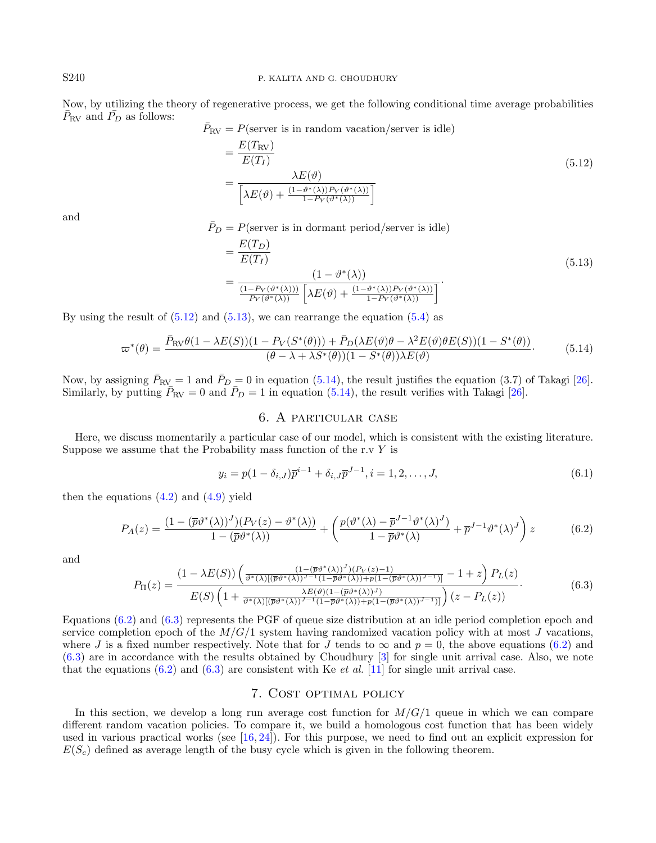Now, by utilizing the theory of regenerative process, we get the following conditional time average probabilities  $\bar{P}_{\rm RV}$  and  $\bar{P}_{\rm D}$  as follows:

$$
\bar{P}_\mathrm{RV} = P(\text{server is in random vacation/server is idle})
$$

<span id="page-15-4"></span>
$$
= \frac{E(T_{\rm RV})}{E(T_I)}
$$
  
= 
$$
\frac{\lambda E(\vartheta)}{\left[\lambda E(\vartheta) + \frac{(1-\vartheta^*(\lambda))P_Y(\vartheta^*(\lambda))}{1-P_Y(\vartheta^*(\lambda))}\right]}
$$
(5.12)

and

 $\bar{P}_D = P$ (server is in dormant period/server is idle)

$$
= \frac{E(T_D)}{E(T_I)}
$$
\n
$$
= \frac{(1 - \vartheta^*(\lambda))}{\frac{(1 - P_Y(\vartheta^*(\lambda)))}{P_Y(\vartheta^*(\lambda))} \left[\lambda E(\vartheta) + \frac{(1 - \vartheta^*(\lambda))P_Y(\vartheta^*(\lambda))}{1 - P_Y(\vartheta^*(\lambda))}\right]}.
$$
\n(5.13)

By using the result of  $(5.12)$  and  $(5.13)$ , we can rearrange the equation  $(5.4)$  as

$$
\varpi^*(\theta) = \frac{\bar{P}_{\text{RV}}\theta(1 - \lambda E(S))(1 - P_V(S^*(\theta))) + \bar{P}_D(\lambda E(\vartheta)\theta - \lambda^2 E(\vartheta)\theta E(S))(1 - S^*(\theta))}{(\theta - \lambda + \lambda S^*(\theta))(1 - S^*(\theta))\lambda E(\vartheta)}.
$$
(5.14)

<span id="page-15-6"></span>Now, by assigning  $\bar{P}_{RV} = 1$  and  $\bar{P}_D = 0$  in equation [\(5.14\)](#page-15-4), the result justifies the equation (3.7) of Takagi [\[26\]](#page-26-2). Similarly, by putting  $\overline{P}_{\text{RV}} = 0$  and  $\overline{P}_D = 1$  in equation [\(5.14\)](#page-15-4), the result verifies with Takagi [\[26\]](#page-26-2).

## <span id="page-15-5"></span>6. A particular case

<span id="page-15-0"></span>Here, we discuss momentarily a particular case of our model, which is consistent with the existing literature. Suppose we assume that the Probability mass function of the r.v  $Y$  is

$$
y_i = p(1 - \delta_{i,J})\overline{p}^{i-1} + \delta_{i,J}\overline{p}^{J-1}, i = 1, 2, ..., J,
$$
\n(6.1)

then the equations  $(4.2)$  and  $(4.9)$  yield

$$
P_A(z) = \frac{(1 - (\overline{p}\vartheta^*(\lambda))^J)(P_V(z) - \vartheta^*(\lambda))}{1 - (\overline{p}\vartheta^*(\lambda))} + \left(\frac{p(\vartheta^*(\lambda) - \overline{p}^{J-1}\vartheta^*(\lambda)^J)}{1 - \overline{p}\vartheta^*(\lambda)} + \overline{p}^{J-1}\vartheta^*(\lambda)^J\right)z\tag{6.2}
$$

and

$$
P_{\Pi}(z) = \frac{\left(1 - \lambda E(S)\right) \left(\frac{\left(1 - (\overline{p}\vartheta^*(\lambda))'\right) (P_V(z) - 1)}{\vartheta^*(\lambda)[(\overline{p}\vartheta^*(\lambda))^{J-1}(1 - \overline{p}\vartheta^*(\lambda)) + p(1 - (\overline{p}\vartheta^*(\lambda))^{J-1})]}\right) - 1 + z\right) P_L(z)}{E(S) \left(1 + \frac{\lambda E(\vartheta)(1 - (\overline{p}\vartheta^*(\lambda))^{J})}{\vartheta^*(\lambda)[(\overline{p}\vartheta^*(\lambda))^{J-1}(1 - \overline{p}\vartheta^*(\lambda)) + p(1 - (\overline{p}\vartheta^*(\lambda))^{J-1})]}\right) (z - P_L(z))}.
$$
\n(6.3)

Equations [\(6.2\)](#page-15-5) and [\(6.3\)](#page-15-6) represents the PGF of queue size distribution at an idle period completion epoch and service completion epoch of the  $M/G/1$  system having randomized vacation policy with at most J vacations, where J is a fixed number respectively. Note that for J tends to  $\infty$  and  $p = 0$ , the above equations [\(6.2\)](#page-15-5) and [\(6.3\)](#page-15-6) are in accordance with the results obtained by Choudhury [\[3\]](#page-26-30) for single unit arrival case. Also, we note that the equations [\(6.2\)](#page-15-5) and [\(6.3\)](#page-15-6) are consistent with Ke *et al.* [\[11\]](#page-26-7) for single unit arrival case.

## 7. Cost optimal policy

<span id="page-15-1"></span>In this section, we develop a long run average cost function for  $M/G/1$  queue in which we can compare different random vacation policies. To compare it, we build a homologous cost function that has been widely used in various practical works (see  $[16, 24]$  $[16, 24]$  $[16, 24]$ ). For this purpose, we need to find out an explicit expression for  $E(S<sub>c</sub>)$  defined as average length of the busy cycle which is given in the following theorem.

<span id="page-15-3"></span><span id="page-15-2"></span>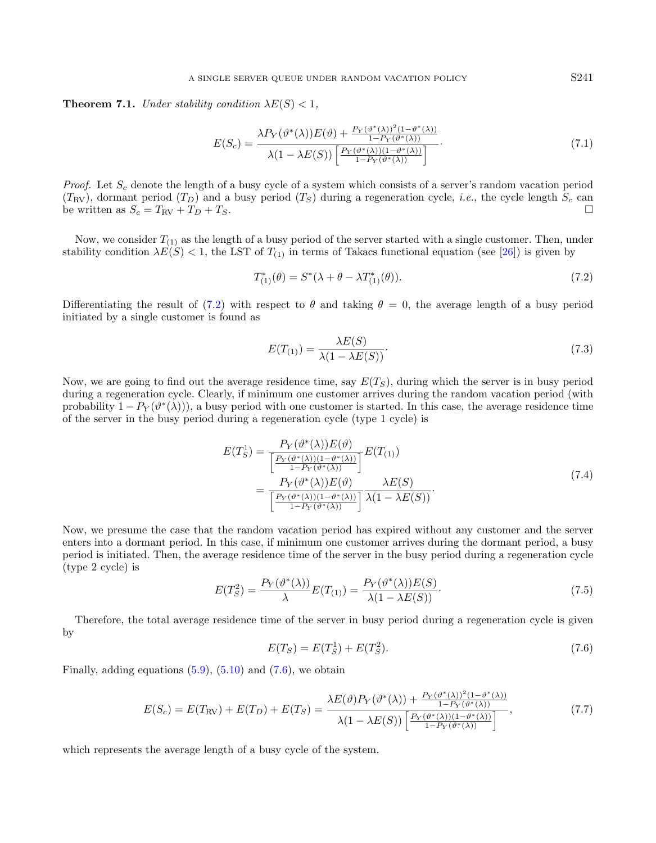**Theorem 7.1.** Under stability condition  $\lambda E(S) < 1$ ,

$$
E(S_c) = \frac{\lambda P_Y(\vartheta^*(\lambda))E(\vartheta) + \frac{P_Y(\vartheta^*(\lambda))^2(1-\vartheta^*(\lambda))}{1-P_Y(\vartheta^*(\lambda))}}{\lambda(1-\lambda E(S))\left[\frac{P_Y(\vartheta^*(\lambda))(1-\vartheta^*(\lambda))}{1-P_Y(\vartheta^*(\lambda))}\right]}.
$$
\n(7.1)

*Proof.* Let  $S_c$  denote the length of a busy cycle of a system which consists of a server's random vacation period  $(T_{\rm RV})$ , dormant period  $(T_D)$  and a busy period  $(T_S)$  during a regeneration cycle, *i.e.*, the cycle length  $S_c$  can be written as  $S_c = T_{\text{RV}} + T_D + T_S$ .

Now, we consider  $T_{(1)}$  as the length of a busy period of the server started with a single customer. Then, under stability condition  $\lambda E(S) < 1$ , the LST of  $T_{(1)}$  in terms of Takacs functional equation (see [\[26\]](#page-26-2)) is given by

$$
T_{(1)}^*(\theta) = S^*(\lambda + \theta - \lambda T_{(1)}^*(\theta)).
$$
\n(7.2)

Differentiating the result of [\(7.2\)](#page-16-0) with respect to  $\theta$  and taking  $\theta = 0$ , the average length of a busy period initiated by a single customer is found as

$$
E(T_{(1)}) = \frac{\lambda E(S)}{\lambda (1 - \lambda E(S))}.
$$
\n(7.3)

Now, we are going to find out the average residence time, say  $E(T<sub>S</sub>)$ , during which the server is in busy period during a regeneration cycle. Clearly, if minimum one customer arrives during the random vacation period (with probability  $1 - P_Y(\vartheta^*(\lambda))$ , a busy period with one customer is started. In this case, the average residence time of the server in the busy period during a regeneration cycle (type 1 cycle) is

$$
E(T_S^1) = \frac{P_Y(\vartheta^*(\lambda))E(\vartheta)}{\left[\frac{P_Y(\vartheta^*(\lambda))(1-\vartheta^*(\lambda))}{1-P_Y(\vartheta^*(\lambda))}\right]}E(T_{(1)})
$$
  
= 
$$
\frac{P_Y(\vartheta^*(\lambda))E(\vartheta)}{\left[\frac{P_Y(\vartheta^*(\lambda))(1-\vartheta^*(\lambda))}{1-P_Y(\vartheta^*(\lambda))}\right]} \frac{\lambda E(S)}{\lambda(1-\lambda E(S))}.
$$
 (7.4)

<span id="page-16-1"></span>Now, we presume the case that the random vacation period has expired without any customer and the server enters into a dormant period. In this case, if minimum one customer arrives during the dormant period, a busy period is initiated. Then, the average residence time of the server in the busy period during a regeneration cycle (type 2 cycle) is

$$
E(T_S^2) = \frac{P_Y(\vartheta^*(\lambda))}{\lambda} E(T_{(1)}) = \frac{P_Y(\vartheta^*(\lambda))E(S)}{\lambda(1 - \lambda E(S))}.
$$
\n(7.5)

Therefore, the total average residence time of the server in busy period during a regeneration cycle is given by

$$
E(T_S) = E(T_S^1) + E(T_S^2). \tag{7.6}
$$

Finally, adding equations  $(5.9)$ ,  $(5.10)$  and  $(7.6)$ , we obtain

$$
E(S_c) = E(T_{\rm RV}) + E(T_D) + E(T_S) = \frac{\lambda E(\vartheta) P_Y(\vartheta^*(\lambda)) + \frac{P_Y(\vartheta^*(\lambda))^2 (1 - \vartheta^*(\lambda))}{1 - P_Y(\vartheta^*(\lambda))}}{\lambda (1 - \lambda E(S)) \left[ \frac{P_Y(\vartheta^*(\lambda)) (1 - \vartheta^*(\lambda))}{1 - P_Y(\vartheta^*(\lambda))} \right]},
$$
\n(7.7)

which represents the average length of a busy cycle of the system.

<span id="page-16-0"></span>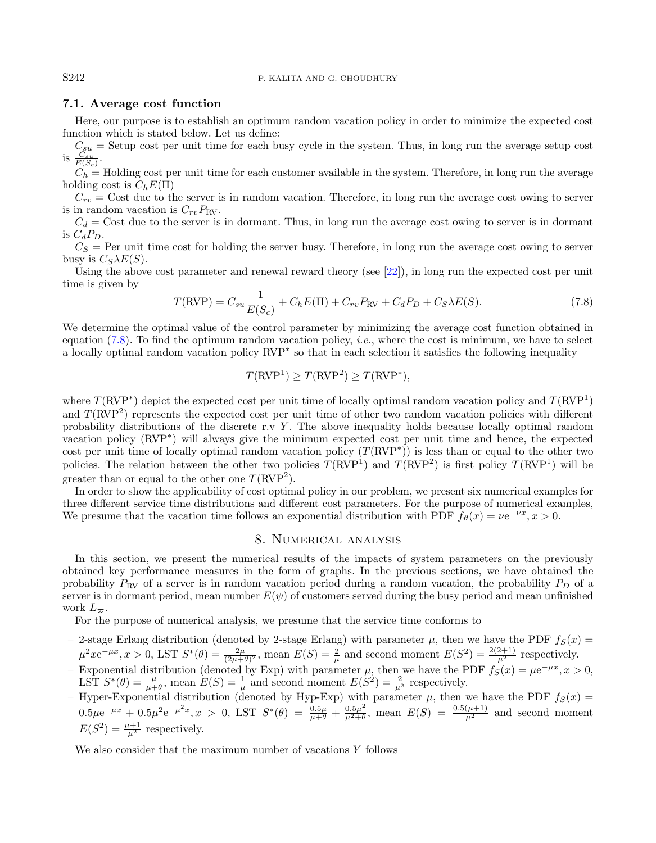### 7.1. Average cost function

<span id="page-17-1"></span>Here, our purpose is to establish an optimum random vacation policy in order to minimize the expected cost function which is stated below. Let us define:

 $C_{su}$  = Setup cost per unit time for each busy cycle in the system. Thus, in long run the average setup cost is  $\frac{C_{su}}{E(S_c)}$ .

 $C_h =$  Holding cost per unit time for each customer available in the system. Therefore, in long run the average holding cost is  $C_hE(\Pi)$ 

 $C_{rv}$  = Cost due to the server is in random vacation. Therefore, in long run the average cost owing to server is in random vacation is  $C_{rv}P_{RV}$ .

 $C_d$  = Cost due to the server is in dormant. Thus, in long run the average cost owing to server is in dormant is  $C_dP_D$ .

 $C_S$  = Per unit time cost for holding the server busy. Therefore, in long run the average cost owing to server busy is  $C_S\lambda E(S)$ .

Using the above cost parameter and renewal reward theory (see [\[22\]](#page-26-31)), in long run the expected cost per unit time is given by

$$
T(\text{RVP}) = C_{su} \frac{1}{E(S_c)} + C_h E(\text{II}) + C_{rv} P_{\text{RV}} + C_d P_D + C_S \lambda E(S). \tag{7.8}
$$

We determine the optimal value of the control parameter by minimizing the average cost function obtained in equation [\(7.8\)](#page-17-1). To find the optimum random vacation policy, *i.e.*, where the cost is minimum, we have to select a locally optimal random vacation policy RVP<sup>∗</sup> so that in each selection it satisfies the following inequality

$$
T(\text{RVP}^1) \ge T(\text{RVP}^2) \ge T(\text{RVP}^*),
$$

where  $T(\text{RVP*})$  depict the expected cost per unit time of locally optimal random vacation policy and  $T(\text{RVP*})$ and  $T(\text{RVP}^2)$  represents the expected cost per unit time of other two random vacation policies with different probability distributions of the discrete r.v Y . The above inequality holds because locally optimal random vacation policy (RVP<sup>\*</sup>) will always give the minimum expected cost per unit time and hence, the expected cost per unit time of locally optimal random vacation policy  $(T(RVP<sup>*</sup>))$  is less than or equal to the other two policies. The relation between the other two policies  $T(\text{RVP}^1)$  and  $T(\text{RVP}^2)$  is first policy  $T(\text{RVP}^1)$  will be greater than or equal to the other one  $T(\text{RVP}^2)$ .

In order to show the applicability of cost optimal policy in our problem, we present six numerical examples for three different service time distributions and different cost parameters. For the purpose of numerical examples, We presume that the vacation time follows an exponential distribution with PDF  $f_{\theta}(x) = \nu e^{-\nu x}, x > 0$ .

# 8. Numerical analysis

<span id="page-17-0"></span>In this section, we present the numerical results of the impacts of system parameters on the previously obtained key performance measures in the form of graphs. In the previous sections, we have obtained the probability  $P_{\rm RV}$  of a server is in random vacation period during a random vacation, the probability  $P_D$  of a server is in dormant period, mean number  $E(\psi)$  of customers served during the busy period and mean unfinished work  $L_{\varpi}$ .

For the purpose of numerical analysis, we presume that the service time conforms to

- 2-stage Erlang distribution (denoted by 2-stage Erlang) with parameter  $\mu$ , then we have the PDF  $f_S(x)$  =  $\mu^2 x e^{-\mu x}, x > 0$ , LST  $S^*(\theta) = \frac{2\mu}{(2\mu+\theta)^2}$ , mean  $E(S) = \frac{2}{\mu}$  and second moment  $E(S^2) = \frac{2(2+1)}{\mu^2}$  respectively.
- Exponential distribution (denoted by Exp) with parameter  $\mu$ , then we have the PDF  $f_S(x) = \mu e^{-\mu x}, x > 0$ , LST  $S^*(\theta) = \frac{\mu}{\mu + \theta}$ , mean  $E(S) = \frac{1}{\mu}$  and second moment  $E(S^2) = \frac{2}{\mu^2}$  respectively.
- Hyper-Exponential distribution (denoted by Hyp-Exp) with parameter  $\mu$ , then we have the PDF  $f_S(x)$  =  $0.5\mu e^{-\mu x} + 0.5\mu^2 e^{-\mu^2 x}, x > 0$ , LST  $S^*(\theta) = \frac{0.5\mu}{\mu + \theta} + \frac{0.5\mu^2}{\mu^2 + \theta}$  $\frac{0.5\mu^2}{\mu^2+\theta}$ , mean  $E(S) = \frac{0.5(\mu+1)}{\mu^2}$  and second moment  $E(S^2) = \frac{\mu+1}{\mu^2}$  respectively.

We also consider that the maximum number of vacations Y follows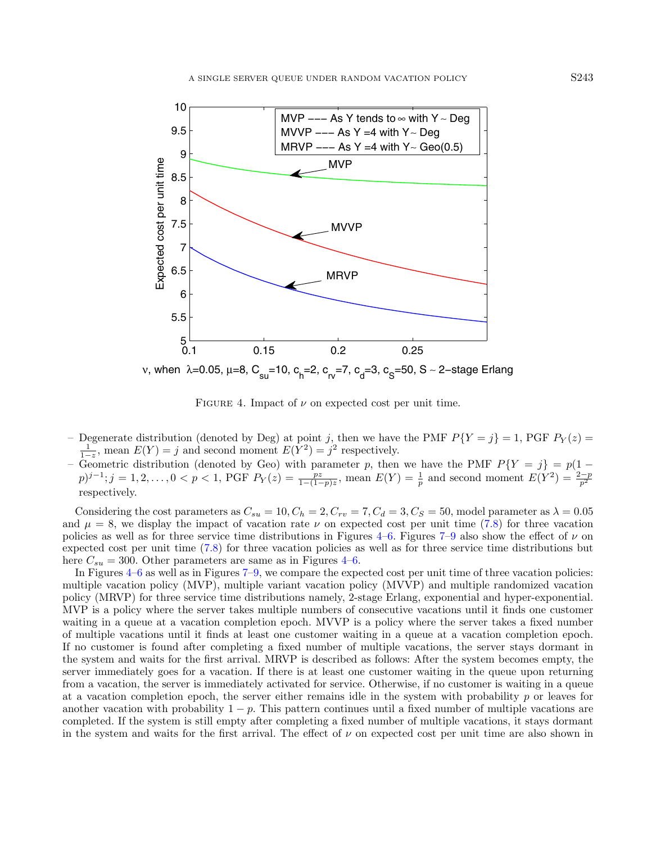

<span id="page-18-0"></span>FIGURE 4. Impact of  $\nu$  on expected cost per unit time.

- Degenerate distribution (denoted by Deg) at point j, then we have the PMF  $P{Y = j} = 1$ , PGF  $P_Y(z) =$  $\frac{1}{1-z}$ , mean  $E(Y) = j$  and second moment  $E(Y^2) = j^2$  respectively.
- Geometric distribution (denoted by Geo) with parameter p, then we have the PMF  $P{Y = j} = p(1 (p)^{j-1}$ ;  $j = 1, 2, ..., 0 < p < 1$ , PGF  $P_Y(z) = \frac{pz}{1-(1-p)z}$ , mean  $E(Y) = \frac{1}{p}$  and second moment  $E(Y^2) = \frac{2-p}{p^2}$ respectively.

Considering the cost parameters as  $C_{su} = 10, C_h = 2, C_{rv} = 7, C_d = 3, C_S = 50$ , model parameter as  $\lambda = 0.05$ and  $\mu = 8$ , we display the impact of vacation rate  $\nu$  on expected cost per unit time [\(7.8\)](#page-17-1) for three vacation policies as well as for three service time distributions in Figures [4–](#page-18-0)[6.](#page-19-0) Figures [7–](#page-20-0)[9](#page-21-0) also show the effect of  $\nu$  on expected cost per unit time [\(7.8\)](#page-17-1) for three vacation policies as well as for three service time distributions but here  $C_{su} = 300$ . Other parameters are same as in Figures [4–](#page-18-0)[6.](#page-19-0)

In Figures [4](#page-18-0)[–6](#page-19-0) as well as in Figures [7–](#page-20-0)[9,](#page-21-0) we compare the expected cost per unit time of three vacation policies: multiple vacation policy (MVP), multiple variant vacation policy (MVVP) and multiple randomized vacation policy (MRVP) for three service time distributions namely, 2-stage Erlang, exponential and hyper-exponential. MVP is a policy where the server takes multiple numbers of consecutive vacations until it finds one customer waiting in a queue at a vacation completion epoch. MVVP is a policy where the server takes a fixed number of multiple vacations until it finds at least one customer waiting in a queue at a vacation completion epoch. If no customer is found after completing a fixed number of multiple vacations, the server stays dormant in the system and waits for the first arrival. MRVP is described as follows: After the system becomes empty, the server immediately goes for a vacation. If there is at least one customer waiting in the queue upon returning from a vacation, the server is immediately activated for service. Otherwise, if no customer is waiting in a queue at a vacation completion epoch, the server either remains idle in the system with probability  $p$  or leaves for another vacation with probability  $1 - p$ . This pattern continues until a fixed number of multiple vacations are completed. If the system is still empty after completing a fixed number of multiple vacations, it stays dormant in the system and waits for the first arrival. The effect of  $\nu$  on expected cost per unit time are also shown in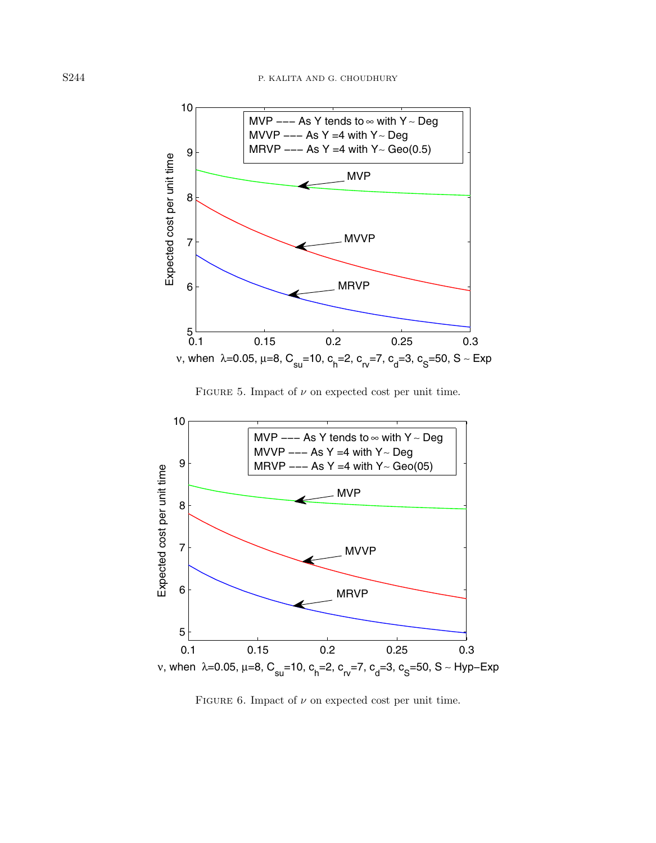

<span id="page-19-0"></span>FIGURE 5. Impact of  $\nu$  on expected cost per unit time.



FIGURE 6. Impact of  $\nu$  on expected cost per unit time.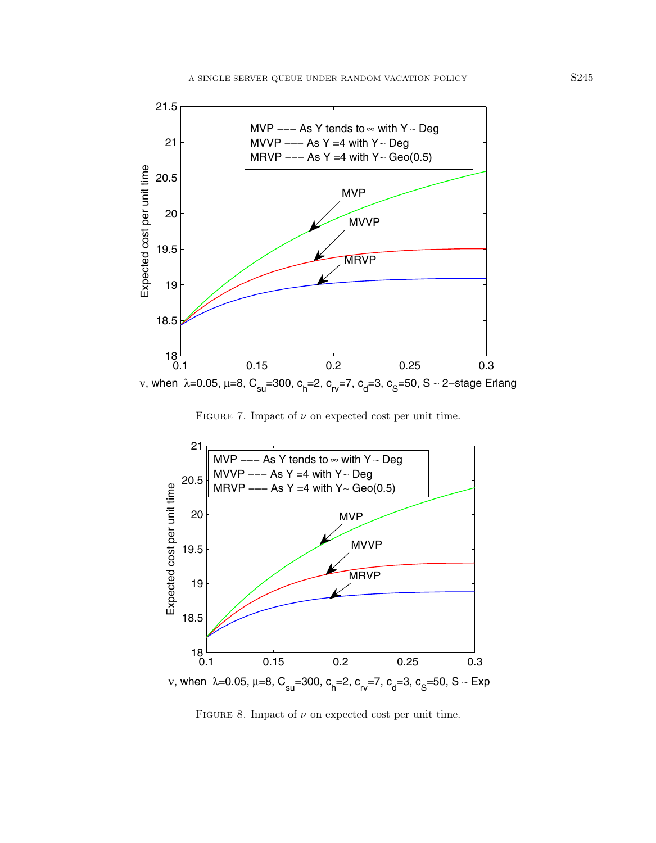

<span id="page-20-0"></span>FIGURE 7. Impact of  $\nu$  on expected cost per unit time.



FIGURE 8. Impact of  $\nu$  on expected cost per unit time.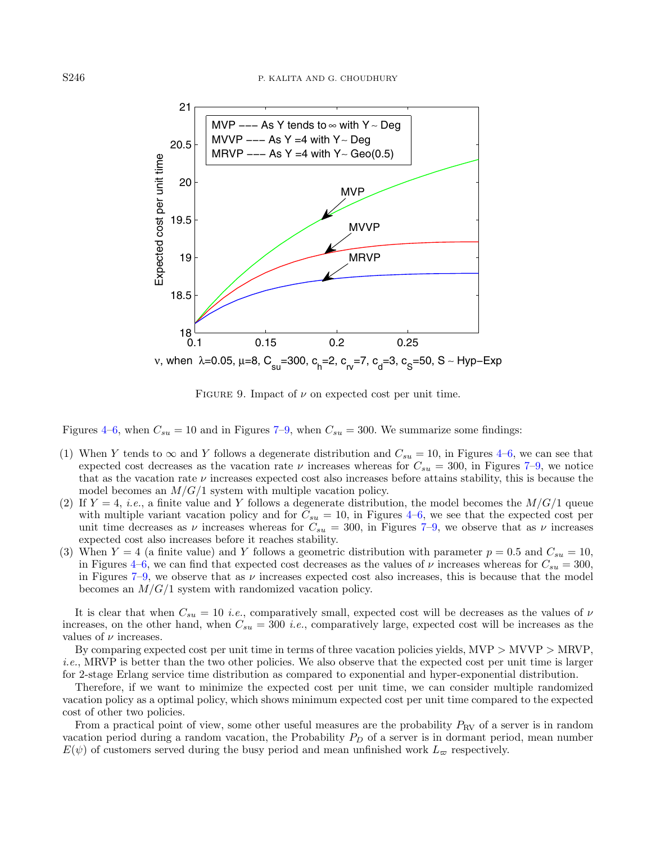

<span id="page-21-0"></span>FIGURE 9. Impact of  $\nu$  on expected cost per unit time.

Figures [4–](#page-18-0)[6,](#page-19-0) when  $C_{su} = 10$  and in Figures [7](#page-20-0)[–9,](#page-21-0) when  $C_{su} = 300$ . We summarize some findings:

- (1) When Y tends to  $\infty$  and Y follows a degenerate distribution and  $C_{su} = 10$ , in Figures [4–](#page-18-0)[6,](#page-19-0) we can see that expected cost decreases as the vacation rate  $\nu$  increases whereas for  $C_{su} = 300$ , in Figures [7–](#page-20-0)[9,](#page-21-0) we notice that as the vacation rate  $\nu$  increases expected cost also increases before attains stability, this is because the model becomes an  $M/G/1$  system with multiple vacation policy.
- (2) If  $Y = 4$ , *i.e.*, a finite value and Y follows a degenerate distribution, the model becomes the  $M/G/1$  queue with multiple variant vacation policy and for  $C_{su} = 10$ , in Figures [4–](#page-18-0)[6,](#page-19-0) we see that the expected cost per unit time decreases as  $\nu$  increases whereas for  $C_{su} = 300$ , in Figures [7–](#page-20-0)[9,](#page-21-0) we observe that as  $\nu$  increases expected cost also increases before it reaches stability.
- (3) When  $Y = 4$  (a finite value) and Y follows a geometric distribution with parameter  $p = 0.5$  and  $C_{su} = 10$ , in Figures [4](#page-18-0)[–6,](#page-19-0) we can find that expected cost decreases as the values of  $\nu$  increases whereas for  $C_{su} = 300$ , in Figures [7](#page-20-0)[–9,](#page-21-0) we observe that as  $\nu$  increases expected cost also increases, this is because that the model becomes an  $M/G/1$  system with randomized vacation policy.

It is clear that when  $C_{su} = 10$  *i.e.*, comparatively small, expected cost will be decreases as the values of  $\nu$ increases, on the other hand, when  $C_{su} = 300$  *i.e.*, comparatively large, expected cost will be increases as the values of  $\nu$  increases.

By comparing expected cost per unit time in terms of three vacation policies yields, MVP > MVVP > MRVP, i.e., MRVP is better than the two other policies. We also observe that the expected cost per unit time is larger for 2-stage Erlang service time distribution as compared to exponential and hyper-exponential distribution.

Therefore, if we want to minimize the expected cost per unit time, we can consider multiple randomized vacation policy as a optimal policy, which shows minimum expected cost per unit time compared to the expected cost of other two policies.

From a practical point of view, some other useful measures are the probability  $P_{\rm RV}$  of a server is in random vacation period during a random vacation, the Probability  $P<sub>D</sub>$  of a server is in dormant period, mean number  $E(\psi)$  of customers served during the busy period and mean unfinished work  $L_{\varpi}$  respectively.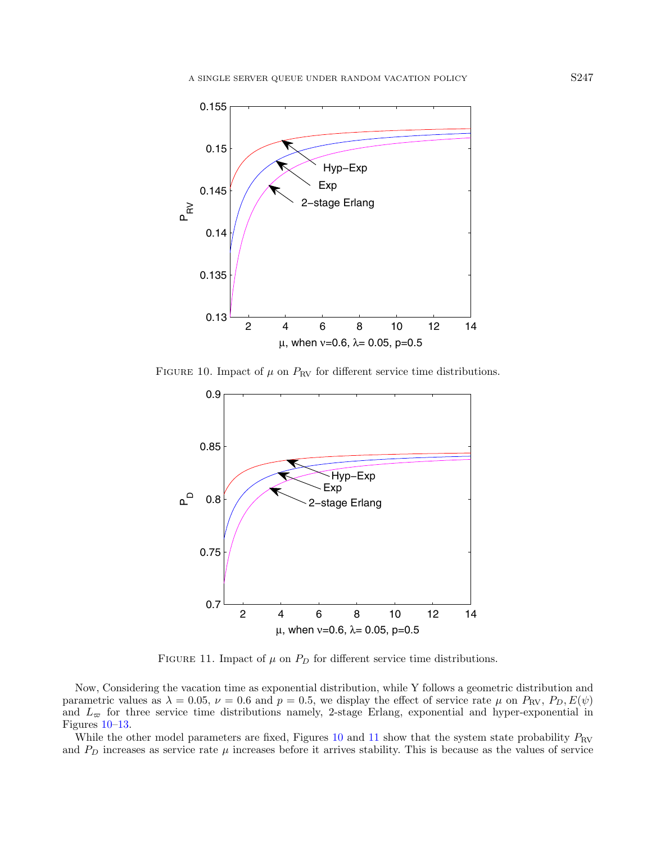<span id="page-22-0"></span>

FIGURE 10. Impact of  $\mu$  on  $P_{\text{RV}}$  for different service time distributions.

<span id="page-22-1"></span>

FIGURE 11. Impact of  $\mu$  on  $P_D$  for different service time distributions.

Now, Considering the vacation time as exponential distribution, while Y follows a geometric distribution and parametric values as  $\lambda = 0.05$ ,  $\nu = 0.6$  and  $p = 0.5$ , we display the effect of service rate  $\mu$  on  $P_{\rm RV}$ ,  $P_D$ ,  $E(\psi)$ and  $L_{\infty}$  for three service time distributions namely, 2-stage Erlang, exponential and hyper-exponential in Figures [10–](#page-22-0)[13.](#page-24-0)

While the other model parameters are fixed, Figures [10](#page-22-0) and [11](#page-22-1) show that the system state probability  $P_{\rm RV}$ and  $P_D$  increases as service rate  $\mu$  increases before it arrives stability. This is because as the values of service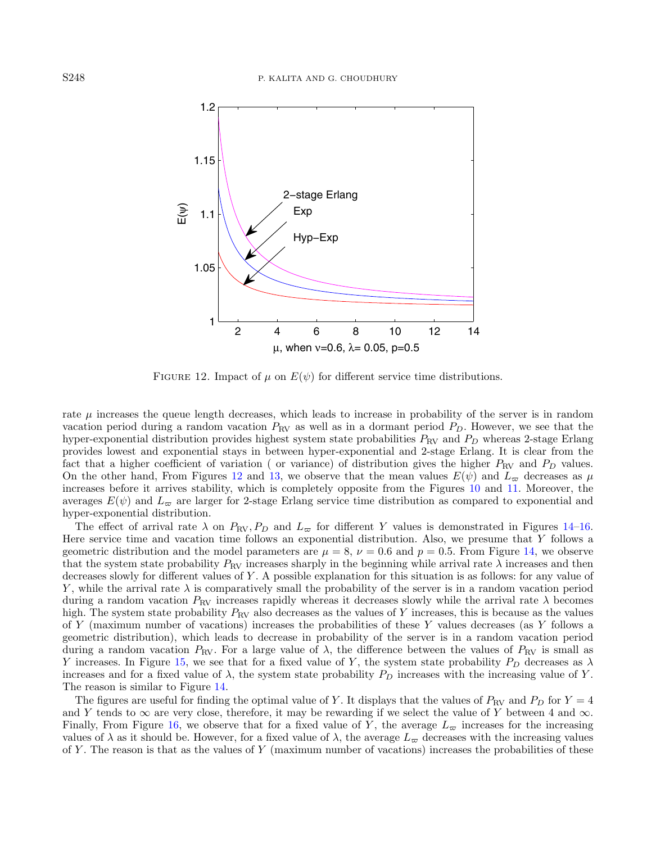<span id="page-23-0"></span>

FIGURE 12. Impact of  $\mu$  on  $E(\psi)$  for different service time distributions.

rate  $\mu$  increases the queue length decreases, which leads to increase in probability of the server is in random vacation period during a random vacation  $P_{\rm RV}$  as well as in a dormant period  $P_D$ . However, we see that the hyper-exponential distribution provides highest system state probabilities  $P_{\rm RV}$  and  $P_D$  whereas 2-stage Erlang provides lowest and exponential stays in between hyper-exponential and 2-stage Erlang. It is clear from the fact that a higher coefficient of variation ( or variance) of distribution gives the higher  $P_{\rm RV}$  and  $P_D$  values. On the other hand, From Figures [12](#page-23-0) and [13,](#page-24-0) we observe that the mean values  $E(\psi)$  and  $L_{\infty}$  decreases as  $\mu$ increases before it arrives stability, which is completely opposite from the Figures [10](#page-22-0) and [11.](#page-22-1) Moreover, the averages  $E(\psi)$  and  $L_{\varpi}$  are larger for 2-stage Erlang service time distribution as compared to exponential and hyper-exponential distribution.

The effect of arrival rate  $\lambda$  on  $P_{\rm RV}$ ,  $P_D$  and  $L_{\varpi}$  for different Y values is demonstrated in Figures [14–](#page-24-1)[16.](#page-25-0) Here service time and vacation time follows an exponential distribution. Also, we presume that Y follows a geometric distribution and the model parameters are  $\mu = 8$ ,  $\nu = 0.6$  and  $p = 0.5$ . From Figure [14,](#page-24-1) we observe that the system state probability  $P_{\text{RV}}$  increases sharply in the beginning while arrival rate  $\lambda$  increases and then decreases slowly for different values of Y . A possible explanation for this situation is as follows: for any value of Y, while the arrival rate  $\lambda$  is comparatively small the probability of the server is in a random vacation period during a random vacation  $P_{\rm RV}$  increases rapidly whereas it decreases slowly while the arrival rate  $\lambda$  becomes high. The system state probability  $P_{\rm RV}$  also decreases as the values of Y increases, this is because as the values of Y (maximum number of vacations) increases the probabilities of these Y values decreases (as Y follows a geometric distribution), which leads to decrease in probability of the server is in a random vacation period during a random vacation  $P_{\rm RV}$ . For a large value of  $\lambda$ , the difference between the values of  $P_{\rm RV}$  is small as Y increases. In Figure [15,](#page-25-1) we see that for a fixed value of Y, the system state probability  $P_D$  decreases as  $\lambda$ increases and for a fixed value of  $\lambda$ , the system state probability  $P_D$  increases with the increasing value of Y. The reason is similar to Figure [14.](#page-24-1)

The figures are useful for finding the optimal value of Y. It displays that the values of  $P_{\rm RV}$  and  $P_D$  for  $Y = 4$ and Y tends to  $\infty$  are very close, therefore, it may be rewarding if we select the value of Y between 4 and  $\infty$ . Finally, From Figure [16,](#page-25-0) we observe that for a fixed value of Y, the average  $L_{\infty}$  increases for the increasing values of  $\lambda$  as it should be. However, for a fixed value of  $\lambda$ , the average  $L_{\infty}$  decreases with the increasing values of Y. The reason is that as the values of Y (maximum number of vacations) increases the probabilities of these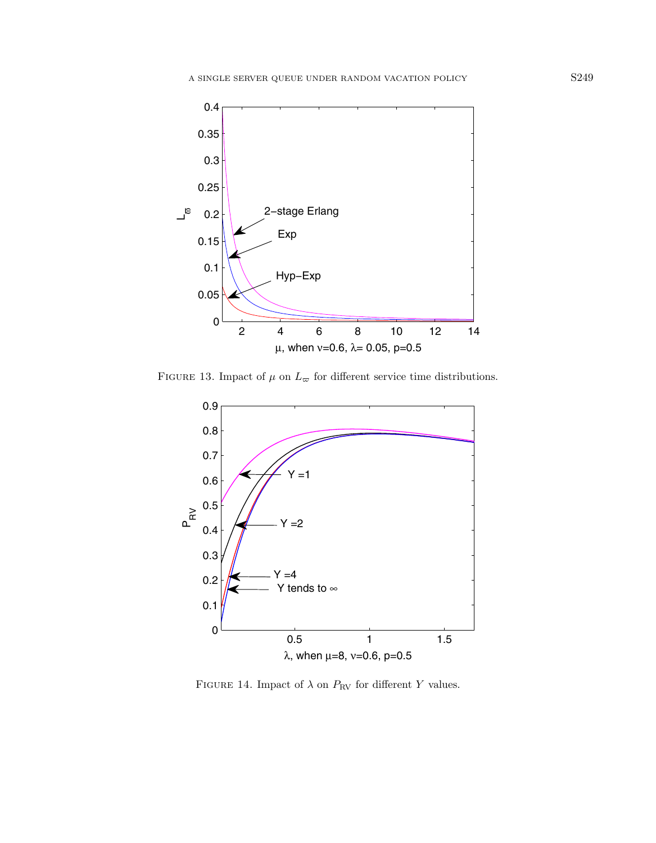<span id="page-24-0"></span>

FIGURE 13. Impact of  $\mu$  on  $L_{\infty}$  for different service time distributions.

<span id="page-24-1"></span>

FIGURE 14. Impact of  $\lambda$  on  $P_{\rm RV}$  for different  $Y$  values.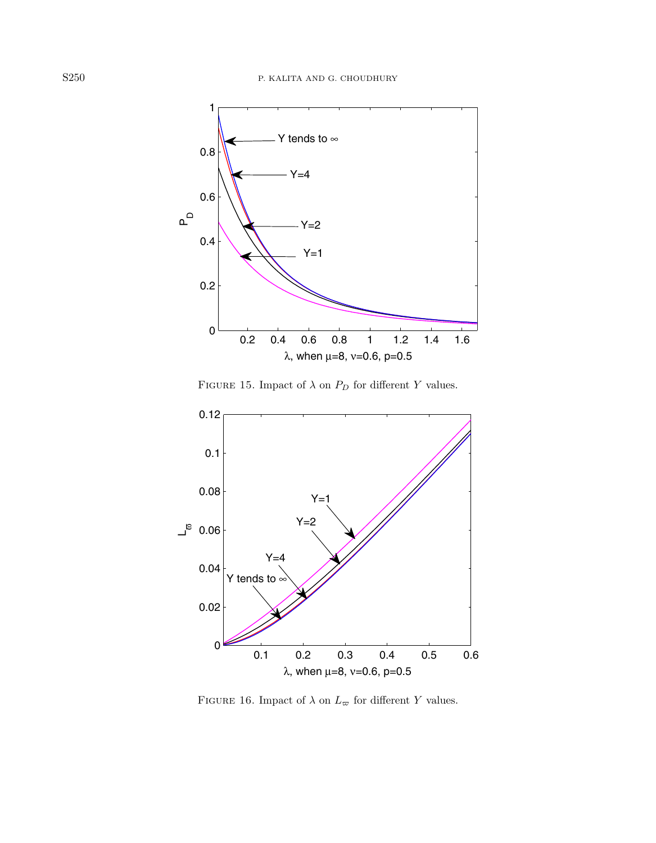<span id="page-25-1"></span>

FIGURE 15. Impact of  $\lambda$  on  $P_D$  for different  $Y$  values.



<span id="page-25-0"></span>FIGURE 16. Impact of  $\lambda$  on  $L_\varpi$  for different  $Y$  values.